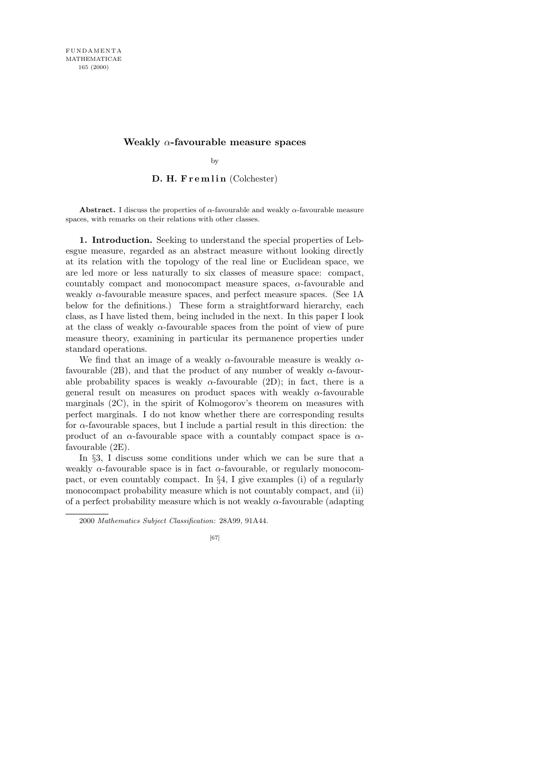## **Weakly** *α***-favourable measure spaces**

by

## D. H. Fremlin (Colchester)

**Abstract.** I discuss the properties of  $\alpha$ -favourable and weakly  $\alpha$ -favourable measure spaces, with remarks on their relations with other classes.

1. Introduction. Seeking to understand the special properties of Lebesgue measure, regarded as an abstract measure without looking directly at its relation with the topology of the real line or Euclidean space, we are led more or less naturally to six classes of measure space: compact, countably compact and monocompact measure spaces, α-favourable and weakly  $\alpha$ -favourable measure spaces, and perfect measure spaces. (See 1A below for the definitions.) These form a straightforward hierarchy, each class, as I have listed them, being included in the next. In this paper I look at the class of weakly  $\alpha$ -favourable spaces from the point of view of pure measure theory, examining in particular its permanence properties under standard operations.

We find that an image of a weakly  $\alpha$ -favourable measure is weakly  $\alpha$ favourable (2B), and that the product of any number of weakly  $\alpha$ -favourable probability spaces is weakly  $\alpha$ -favourable (2D); in fact, there is a general result on measures on product spaces with weakly  $\alpha$ -favourable marginals  $(2C)$ , in the spirit of Kolmogorov's theorem on measures with perfect marginals. I do not know whether there are corresponding results for  $\alpha$ -favourable spaces, but I include a partial result in this direction: the product of an  $\alpha$ -favourable space with a countably compact space is  $\alpha$ favourable (2E).

In §3, I discuss some conditions under which we can be sure that a weakly  $\alpha$ -favourable space is in fact  $\alpha$ -favourable, or regularly monocompact, or even countably compact. In  $\S 4$ , I give examples (i) of a regularly monocompact probability measure which is not countably compact, and (ii) of a perfect probability measure which is not weakly  $\alpha$ -favourable (adapting

<sup>2000</sup> *Mathematics Subject Classification*: 28A99, 91A44.

<sup>[67]</sup>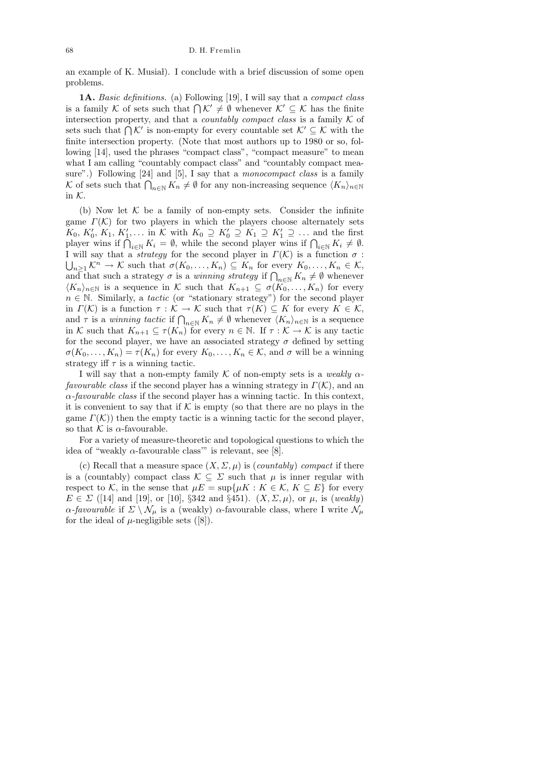an example of K. Musia l). I conclude with a brief discussion of some open problems.

1A. Basic definitions. (a) Following [19], I will say that a compact class is a family K of sets such that  $\bigcap \mathcal{K}' \neq \emptyset$  whenever  $\mathcal{K}' \subseteq \mathcal{K}$  has the finite intersection property, and that a *countably compact class* is a family  $K$  of sets such that  $\bigcap \mathcal{K}'$  is non-empty for every countable set  $\mathcal{K}' \subseteq \mathcal{K}$  with the finite intersection property. (Note that most authors up to 1980 or so, following [14], used the phrases "compact class", "compact measure" to mean what I am calling "countably compact class" and "countably compact measure".) Following [24] and [5], I say that a monocompact class is a family K of sets such that  $\bigcap_{n\in\mathbb{N}} K_n \neq \emptyset$  for any non-increasing sequence  $\langle K_n \rangle_{n\in\mathbb{N}}$ in  $K$ .

(b) Now let  $K$  be a family of non-empty sets. Consider the infinite game  $\Gamma(K)$  for two players in which the players choose alternately sets  $K_0, K'_0, K_1, K'_1, \ldots$  in K with  $K_0 \supseteq K'_0 \supseteq K_1 \supseteq K'_1 \supseteq \ldots$  and the first player wins if  $\bigcap_{i\in\mathbb{N}} K_i = \emptyset$ , while the second player wins if  $\bigcap_{i\in\mathbb{N}} K_i \neq \emptyset$ . I will say that a *strategy* for the second player in  $\Gamma(\mathcal{K})$  is a function  $\sigma$ :  $\bigcup_{n\geq 1} \mathcal{K}^n \to \mathcal{K}$  such that  $\sigma(K_0,\ldots,K_n) \subseteq K_n$  for every  $K_0,\ldots,K_n \in \mathcal{K}$ , and that such a strategy  $\sigma$  is a *winning strategy* if  $\bigcap_{n\in\mathbb{N}} K_n \neq \emptyset$  whenever  $\langle K_n \rangle_{n \in \mathbb{N}}$  is a sequence in K such that  $K_{n+1} \subseteq \sigma(K_0, \ldots, K_n)$  for every  $n \in \mathbb{N}$ . Similarly, a *tactic* (or "stationary strategy") for the second player in  $\Gamma(\mathcal{K})$  is a function  $\tau : \mathcal{K} \to \mathcal{K}$  such that  $\tau(K) \subseteq K$  for every  $K \in \mathcal{K}$ , and  $\tau$  is a winning tactic if  $\bigcap_{n\in\mathbb{N}} K_n \neq \emptyset$  whenever  $\langle K_n \rangle_{n\in\mathbb{N}}$  is a sequence in K such that  $K_{n+1} \subseteq \tau(K_n)$  for every  $n \in \mathbb{N}$ . If  $\tau : \mathcal{K} \to \mathcal{K}$  is any tactic for the second player, we have an associated strategy  $\sigma$  defined by setting  $\sigma(K_0,\ldots,K_n)=\tau(K_n)$  for every  $K_0,\ldots,K_n\in\mathcal{K}$ , and  $\sigma$  will be a winning strategy iff  $\tau$  is a winning tactic.

I will say that a non-empty family K of non-empty sets is a weakly  $\alpha$ *favourable class* if the second player has a winning strategy in  $\Gamma(\mathcal{K})$ , and an  $\alpha$ -favourable class if the second player has a winning tactic. In this context, it is convenient to say that if  $K$  is empty (so that there are no plays in the game  $\Gamma(\mathcal{K})$  then the empty tactic is a winning tactic for the second player, so that  $K$  is  $\alpha$ -favourable.

For a variety of measure-theoretic and topological questions to which the idea of "weakly  $\alpha$ -favourable class" is relevant, see [8].

(c) Recall that a measure space  $(X, \Sigma, \mu)$  is (*countably*) *compact* if there is a (countably) compact class  $\mathcal{K} \subseteq \Sigma$  such that  $\mu$  is inner regular with respect to K, in the sense that  $\mu E = \sup \{ \mu K : K \in \mathcal{K}, K \subseteq E \}$  for every  $E \in \Sigma$  ([14] and [19], or [10], §342 and §451).  $(X, \Sigma, \mu)$ , or  $\mu$ , is (weakly)  $\alpha$ -favourable if  $\Sigma \setminus \mathcal{N}_{\mu}$  is a (weakly)  $\alpha$ -favourable class, where I write  $\mathcal{N}_{\mu}$ for the ideal of  $\mu$ -negligible sets ([8]).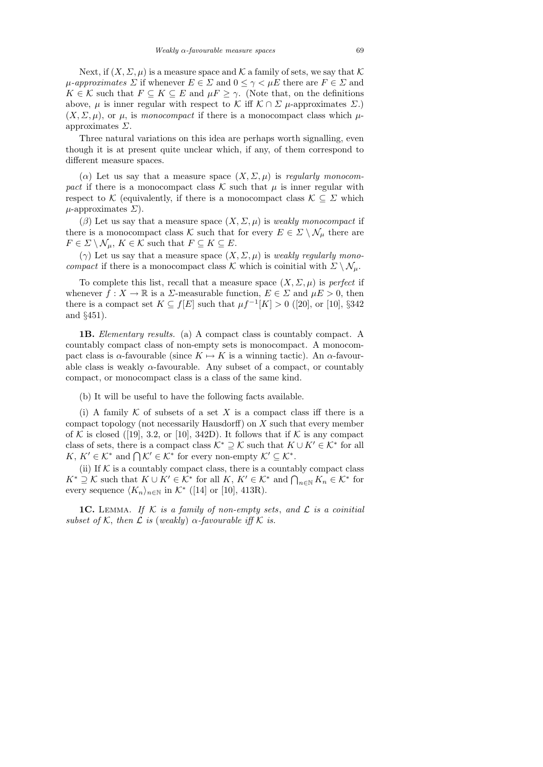Next, if  $(X, \Sigma, \mu)$  is a measure space and K a family of sets, we say that K  $\mu$ -approximates  $\Sigma$  if whenever  $E \in \Sigma$  and  $0 \leq \gamma < \mu E$  there are  $F \in \Sigma$  and  $K \in \mathcal{K}$  such that  $F \subseteq K \subseteq E$  and  $\mu F \geq \gamma$ . (Note that, on the definitions above,  $\mu$  is inner regular with respect to K iff  $\mathcal{K} \cap \Sigma$   $\mu$ -approximates  $\Sigma$ .)  $(X, \Sigma, \mu)$ , or  $\mu$ , is monocompact if there is a monocompact class which  $\mu$ approximates  $\Sigma$ .

Three natural variations on this idea are perhaps worth signalling, even though it is at present quite unclear which, if any, of them correspond to different measure spaces.

( $\alpha$ ) Let us say that a measure space  $(X, \Sigma, \mu)$  is regularly monocompact if there is a monocompact class  $\mathcal K$  such that  $\mu$  is inner regular with respect to K (equivalently, if there is a monocompact class  $\mathcal{K} \subseteq \Sigma$  which  $\mu$ -approximates  $\Sigma$ ).

 $(\beta)$  Let us say that a measure space  $(X, \Sigma, \mu)$  is weakly monocompact if there is a monocompact class K such that for every  $E \in \Sigma \setminus \mathcal{N}_{\mu}$  there are  $F \in \Sigma \setminus \mathcal{N}_{\mu}, K \in \mathcal{K}$  such that  $F \subseteq K \subseteq E$ .

(γ) Let us say that a measure space  $(X, \Sigma, \mu)$  is *weakly regularly monocompact* if there is a monocompact class K which is coinitial with  $\Sigma \setminus \mathcal{N}_{\mu}$ .

To complete this list, recall that a measure space  $(X, \Sigma, \mu)$  is *perfect* if whenever  $f: X \to \mathbb{R}$  is a  $\Sigma$ -measurable function,  $E \in \Sigma$  and  $\mu E > 0$ , then there is a compact set  $K \subseteq f[E]$  such that  $\mu f^{-1}[K] > 0$  ([20], or [10], §342 and §451).

1B. Elementary results. (a) A compact class is countably compact. A countably compact class of non-empty sets is monocompact. A monocompact class is  $\alpha$ -favourable (since  $K \mapsto K$  is a winning tactic). An  $\alpha$ -favourable class is weakly  $\alpha$ -favourable. Any subset of a compact, or countably compact, or monocompact class is a class of the same kind.

(b) It will be useful to have the following facts available.

(i) A family  $K$  of subsets of a set X is a compact class iff there is a compact topology (not necessarily Hausdorff) on X such that every member of K is closed ([19], 3.2, or [10], 342D). It follows that if K is any compact class of sets, there is a compact class  $\mathcal{K}^* \supseteq \mathcal{K}$  such that  $K \cup K' \in \mathcal{K}^*$  for all  $K, K' \in \mathcal{K}^*$  and  $\bigcap \mathcal{K}' \in \mathcal{K}^*$  for every non-empty  $\mathcal{K}' \subseteq \mathcal{K}^*$ .

(ii) If  $K$  is a countably compact class, there is a countably compact class  $K^* \supseteq \mathcal{K}$  such that  $K \cup K' \in \mathcal{K}^*$  for all  $K, K' \in \mathcal{K}^*$  and  $\bigcap_{n \in \mathbb{N}} K_n \in \mathcal{K}^*$  for every sequence  $\langle K_n \rangle_{n \in \mathbb{N}}$  in  $\mathcal{K}^*$  ([14] or [10], 413R).

**1C.** LEMMA. If  $K$  is a family of non-empty sets, and  $L$  is a coinitial subset of K, then L is (weakly)  $\alpha$ -favourable iff K is.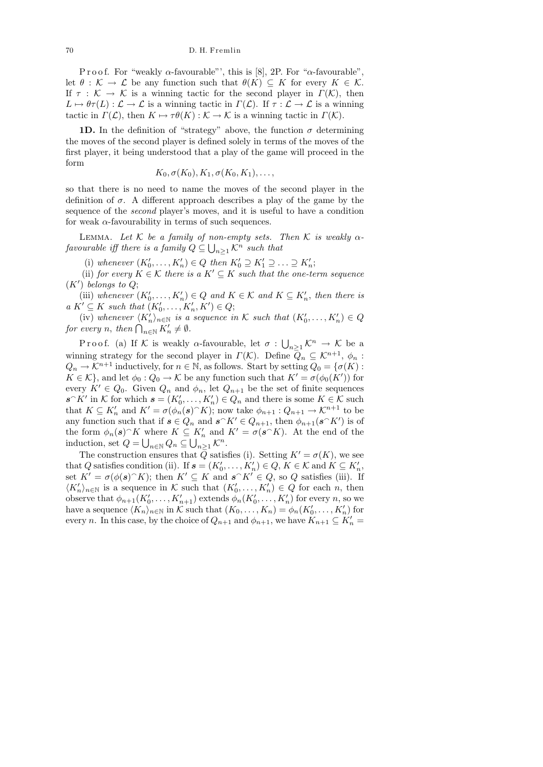P r o o f. For "weakly  $\alpha$ -favourable"', this is [8], 2P. For " $\alpha$ -favourable", let  $\theta : \mathcal{K} \to \mathcal{L}$  be any function such that  $\theta(K) \subseteq K$  for every  $K \in \mathcal{K}$ . If  $\tau : \mathcal{K} \to \mathcal{K}$  is a winning tactic for the second player in  $\Gamma(\mathcal{K})$ , then  $L \mapsto \theta \tau(L) : \mathcal{L} \to \mathcal{L}$  is a winning tactic in  $\Gamma(\mathcal{L})$ . If  $\tau : \mathcal{L} \to \mathcal{L}$  is a winning tactic in  $\Gamma(\mathcal{L})$ , then  $K \mapsto \tau \theta(K) : \mathcal{K} \to \mathcal{K}$  is a winning tactic in  $\Gamma(\mathcal{K})$ .

**1D.** In the definition of "strategy" above, the function  $\sigma$  determining the moves of the second player is defined solely in terms of the moves of the first player, it being understood that a play of the game will proceed in the form

$$
K_0, \sigma(K_0), K_1, \sigma(K_0, K_1), \ldots,
$$

so that there is no need to name the moves of the second player in the definition of  $\sigma$ . A different approach describes a play of the game by the sequence of the second player's moves, and it is useful to have a condition for weak  $\alpha$ -favourability in terms of such sequences.

LEMMA. Let  $K$  be a family of non-empty sets. Then  $K$  is weakly  $\alpha$ favourable iff there is a family  $Q \subseteq \bigcup_{n \geq 1} \mathcal{K}^n$  such that

(i) whenever  $(K'_0, \ldots, K'_n) \in Q$  then  $K'_0 \supseteq K'_1 \supseteq \ldots \supseteq K'_n$ ;

(ii) for every  $K \in \mathcal{K}$  there is a  $K' \subseteq K$  such that the one-term sequence  $(K')$  belongs to  $Q;$ 

(iii) whenever  $(K'_0, \ldots, K'_n) \in Q$  and  $K \in \mathcal{K}$  and  $K \subseteq K'_n$ , then there is  $a K' \subseteq K$  such that  $(K'_0, \ldots, K'_n, K') \in Q;$ 

(iv) whenever  $\langle K'_n \rangle_{n \in \mathbb{N}}$  is a sequence in K such that  $(K'_0, \ldots, K'_n) \in Q$ for every *n*, then  $\bigcap_{n\in\mathbb{N}} K'_n \neq \emptyset$ .

Proof. (a) If K is weakly  $\alpha$ -favourable, let  $\sigma: \bigcup_{n\geq 1} \mathcal{K}^n \to \mathcal{K}$  be a winning strategy for the second player in  $\Gamma(\mathcal{K})$ . Define  $\overline{Q}_n \subseteq \mathcal{K}^{n+1}$ ,  $\phi_n$ :  $Q_n \to \mathcal{K}^{n+1}$  inductively, for  $n \in \mathbb{N}$ , as follows. Start by setting  $Q_0 = {\sigma(K)}$ :  $K \in \mathcal{K}$ , and let  $\phi_0: Q_0 \to \mathcal{K}$  be any function such that  $K' = \sigma(\phi_0(K'))$  for every  $K' \in Q_0$ . Given  $Q_n$  and  $\phi_n$ , let  $Q_{n+1}$  be the set of finite sequences  $s \cap K'$  in K for which  $s = (K'_0, \ldots, K'_n) \in Q_n$  and there is some  $K \in \mathcal{K}$  such that  $K \subseteq K'_n$  and  $K' = \sigma(\phi_n(s)^\frown K)$ ; now take  $\phi_{n+1} : Q_{n+1} \to \mathcal{K}^{n+1}$  to be any function such that if  $s \in Q_n$  and  $s \cap K' \in Q_{n+1}$ , then  $\phi_{n+1}(s \cap K')$  is of the form  $\phi_n(s)$ <sup> $\cap$ </sup>K where  $K \subseteq K'_n$  and  $K' = \sigma(s^\wedge K)$ . At the end of the induction, set  $Q = \bigcup_{n \in \mathbb{N}} Q_n \subseteq \bigcup_{n \geq 1} \mathcal{K}^n$ .

The construction ensures that  $\overline{Q}$  satisfies (i). Setting  $K' = \sigma(K)$ , we see that Q satisfies condition (ii). If  $s = (K'_0, \ldots, K'_n) \in Q, K \in \mathcal{K}$  and  $K \subseteq K'_n$ , set  $K' = \sigma(\phi(\mathbf{s})^T K)$ ; then  $K' \subseteq K$  and  $\mathbf{s}^T K' \in Q$ , so Q satisfies (iii). If  $\langle K'_n \rangle_{n \in \mathbb{N}}$  is a sequence in K such that  $(K'_0, \ldots, K'_n) \in Q$  for each n, then observe that  $\phi_{n+1}(K'_0,\ldots,K'_{n+1})$  extends  $\phi_n(K'_0,\ldots,K'_n)$  for every n, so we have a sequence  $\langle K_n \rangle_{n \in \mathbb{N}}$  in K such that  $(K_0, \ldots, K_n) = \phi_n(K'_0, \ldots, K'_n)$  for every *n*. In this case, by the choice of  $Q_{n+1}$  and  $\phi_{n+1}$ , we have  $K_{n+1} \subseteq K'_n =$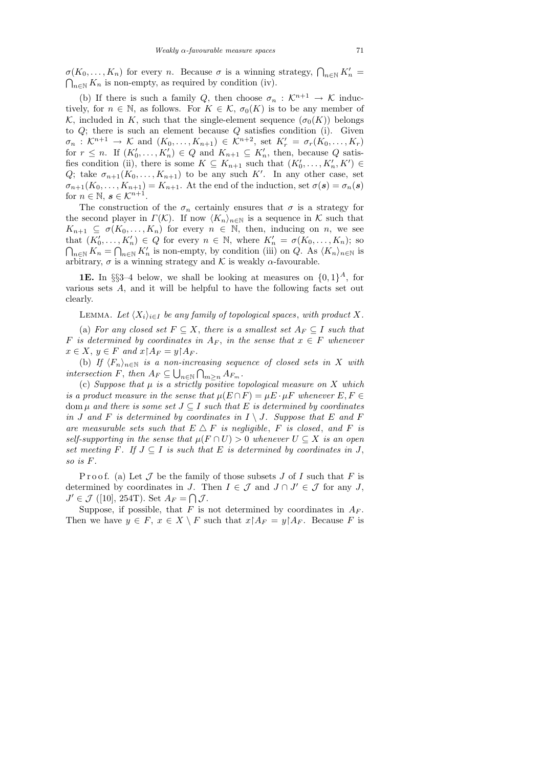$\sigma(K_0, \ldots, K_n)$  for every *n*. Because  $\sigma$  is a winning strategy,  $\bigcap_{n \in \mathbb{N}} K'_n = \bigcap_{n \in \mathbb{N}} K_n$  is non-empty, as required by condition (iv).  $\bigcap_{n\in\mathbb{N}} K_n$  is non-empty, as required by condition (iv).

(b) If there is such a family Q, then choose  $\sigma_n : \mathcal{K}^{n+1} \to \mathcal{K}$  inductively, for  $n \in \mathbb{N}$ , as follows. For  $K \in \mathcal{K}$ ,  $\sigma_0(K)$  is to be any member of K, included in K, such that the single-element sequence  $(\sigma_0(K))$  belongs to  $Q$ ; there is such an element because  $Q$  satisfies condition (i). Given  $\sigma_n: \mathcal{K}^{n+1} \to \mathcal{K}$  and  $(K_0, \ldots, K_{n+1}) \in \mathcal{K}^{n+2}$ , set  $K'_r = \sigma_r(K_0, \ldots, K_r)$ for  $r \leq n$ . If  $(K'_0, \ldots, K'_n) \in Q$  and  $K_{n+1} \subseteq K'_n$ , then, because Q satisfies condition (ii), there is some  $K \subseteq K_{n+1}$  such that  $(K'_0, \ldots, K'_n, K') \in$ Q; take  $\sigma_{n+1}(K_0,\ldots,K_{n+1})$  to be any such K'. In any other case, set  $\sigma_{n+1}(K_0,\ldots,K_{n+1})=K_{n+1}$ . At the end of the induction, set  $\sigma(\mathbf{s})=\sigma_n(\mathbf{s})$ for  $n \in \mathbb{N}$ ,  $s \in \mathcal{K}^{n+1}$ .

The construction of the  $\sigma_n$  certainly ensures that  $\sigma$  is a strategy for the second player in  $\Gamma(\mathcal{K})$ . If now  $\langle K_n \rangle_{n\in\mathbb{N}}$  is a sequence in K such that  $K_{n+1} \subseteq \sigma(K_0, \ldots, K_n)$  for every  $n \in \mathbb{N}$ , then, inducing on n, we see that  $(K'_0, \ldots, K'_n) \in Q$  for every  $n \in \mathbb{N}$ , where  $K'_n = \sigma(K_0, \ldots, K_n)$ ; so  $\bigcap_{n\in\mathbb{N}} K_n = \bigcap_{n\in\mathbb{N}} K'_n$  is non-empty, by condition (iii) on Q. As  $\langle K_n \rangle_{n\in\mathbb{N}}$  is arbitrary,  $\sigma$  is a winning strategy and K is weakly  $\alpha$ -favourable.

**1E.** In §§3–4 below, we shall be looking at measures on  $\{0,1\}^A$ , for various sets A, and it will be helpful to have the following facts set out clearly.

LEMMA. Let  $\langle X_i \rangle_{i \in I}$  be any family of topological spaces, with product X.

(a) For any closed set  $F \subseteq X$ , there is a smallest set  $A_F \subseteq I$  such that F is determined by coordinates in  $A_F$ , in the sense that  $x \in F$  whenever  $x \in X$ ,  $y \in F$  and  $x \upharpoonright A_F = y \upharpoonright A_F$ .

(b) If  $\langle F_n \rangle_{n \in \mathbb{N}}$  is a non-increasing sequence of closed sets in X with intersection F, then  $A_F \subseteq \bigcup_{n \in \mathbb{N}} \bigcap_{m \geq n} A_{F_m}$ .

(c) Suppose that  $\mu$  is a strictly positive topological measure on X which is a product measure in the sense that  $\mu(E \cap F) = \mu E \cdot \mu F$  whenever  $E, F \in$ dom  $\mu$  and there is some set  $J \subseteq I$  such that E is determined by coordinates in J and F is determined by coordinates in  $I \setminus J$ . Suppose that E and F are measurable sets such that  $E \triangle F$  is negligible, F is closed, and F is self-supporting in the sense that  $\mu(F \cap U) > 0$  whenever  $U \subseteq X$  is an open set meeting F. If  $J \subseteq I$  is such that E is determined by coordinates in J, so is F.

Proof. (a) Let  $\mathcal J$  be the family of those subsets  $J$  of  $I$  such that  $F$  is determined by coordinates in J. Then  $I \in \mathcal{J}$  and  $J \cap J' \in \mathcal{J}$  for any J,  $J' \in \mathcal{J}$  ([10], 254T). Set  $A_F = \bigcap \mathcal{J}$ .

Suppose, if possible, that  $F$  is not determined by coordinates in  $A_F$ . Then we have  $y \in F$ ,  $x \in X \setminus F$  such that  $x \upharpoonright A_F = y \upharpoonright A_F$ . Because F is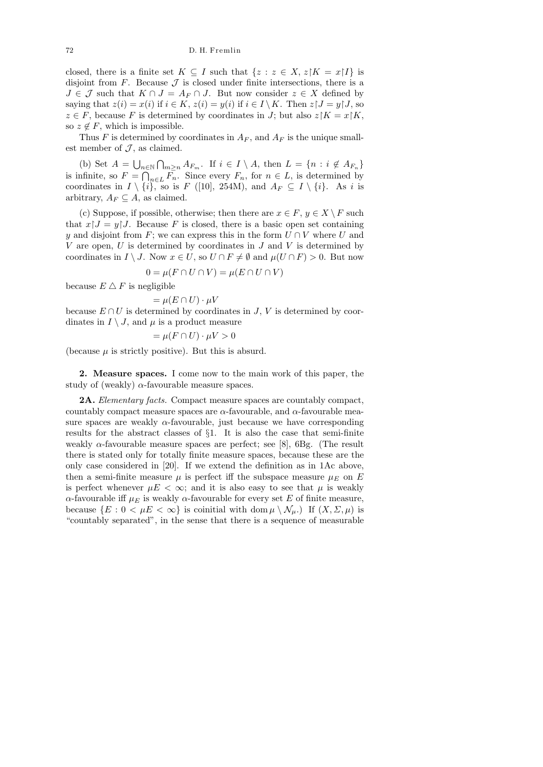closed, there is a finite set  $K \subseteq I$  such that  $\{z : z \in X, z | K = x | I\}$  is disjoint from  $F$ . Because  $\mathcal J$  is closed under finite intersections, there is a  $J \in \mathcal{J}$  such that  $K \cap J = A_F \cap J$ . But now consider  $z \in X$  defined by saying that  $z(i) = x(i)$  if  $i \in K$ ,  $z(i) = y(i)$  if  $i \in I \setminus K$ . Then  $z \upharpoonright J = y \upharpoonright J$ , so  $z \in F$ , because F is determined by coordinates in J; but also  $z|K = x|K$ , so  $z \notin F$ , which is impossible.

Thus F is determined by coordinates in  $A_F$ , and  $A_F$  is the unique smallest member of  $J$ , as claimed.

(b) Set  $A = \bigcup_{n \in \mathbb{N}} \bigcap_{m \geq n} A_{F_m}$ . If  $i \in I \setminus A$ , then  $L = \{n : i \notin A_{F_n}\}\$ is infinite, so  $F = \bigcap_{n \in L} F_n$ . Since every  $F_n$ , for  $n \in L$ , is determined by coordinates in  $I \setminus \{i\}$ , so is F ([10], 254M), and  $A_F \subseteq I \setminus \{i\}$ . As i is arbitrary,  $A_F \subseteq A$ , as claimed.

(c) Suppose, if possible, otherwise; then there are  $x \in F$ ,  $y \in X \backslash F$  such that  $x/J = y/J$ . Because F is closed, there is a basic open set containing y and disjoint from F; we can express this in the form  $U \cap V$  where U and  $V$  are open,  $U$  is determined by coordinates in  $J$  and  $V$  is determined by coordinates in  $I \setminus J$ . Now  $x \in U$ , so  $U \cap F \neq \emptyset$  and  $\mu(U \cap F) > 0$ . But now

$$
0 = \mu(F \cap U \cap V) = \mu(E \cap U \cap V)
$$

because  $E \triangle F$  is negligible

$$
= \mu(E \cap U) \cdot \mu V
$$

because  $E \cap U$  is determined by coordinates in J, V is determined by coordinates in  $I \setminus J$ , and  $\mu$  is a product measure

$$
= \mu(F \cap U) \cdot \mu V > 0
$$

(because  $\mu$  is strictly positive). But this is absurd.

2. Measure spaces. I come now to the main work of this paper, the study of (weakly)  $\alpha$ -favourable measure spaces.

**2A.** Elementary facts. Compact measure spaces are countably compact, countably compact measure spaces are  $\alpha$ -favourable, and  $\alpha$ -favourable measure spaces are weakly  $\alpha$ -favourable, just because we have corresponding results for the abstract classes of §1. It is also the case that semi-finite weakly  $\alpha$ -favourable measure spaces are perfect; see [8], 6Bg. (The result there is stated only for totally finite measure spaces, because these are the only case considered in [20]. If we extend the definition as in 1Ac above, then a semi-finite measure  $\mu$  is perfect iff the subspace measure  $\mu_E$  on E is perfect whenever  $\mu E < \infty$ ; and it is also easy to see that  $\mu$  is weakly  $\alpha$ -favourable iff  $\mu_E$  is weakly  $\alpha$ -favourable for every set E of finite measure, because  $\{E : 0 < \mu E < \infty\}$  is coinitial with dom  $\mu \setminus \mathcal{N}_{\mu}$ . If  $(X, \Sigma, \mu)$  is "countably separated", in the sense that there is a sequence of measurable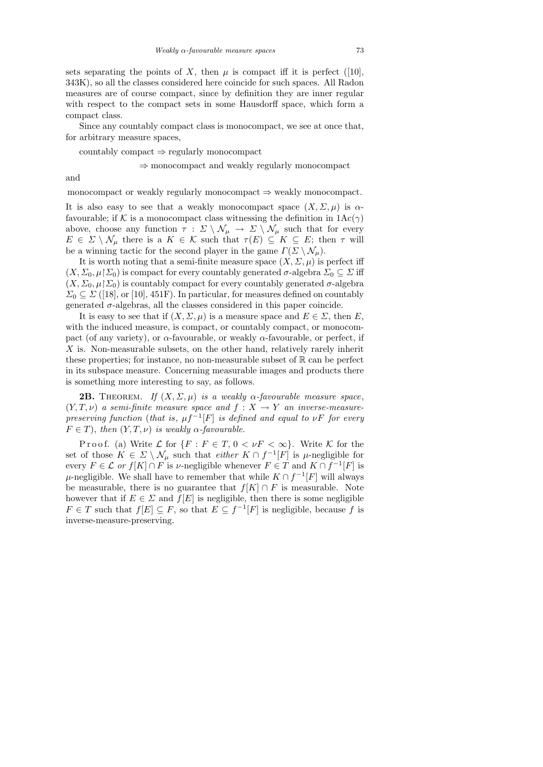sets separating the points of X, then  $\mu$  is compact iff it is perfect ([10], 343K), so all the classes considered here coincide for such spaces. All Radon measures are of course compact, since by definition they are inner regular with respect to the compact sets in some Hausdorff space, which form a compact class.

Since any countably compact class is monocompact, we see at once that, for arbitrary measure spaces,

countably compact  $\Rightarrow$  regularly monocompact

⇒ monocompact and weakly regularly monocompact

and

monocompact or weakly regularly monocompact  $\Rightarrow$  weakly monocompact.

It is also easy to see that a weakly monocompact space  $(X, \Sigma, \mu)$  is  $\alpha$ favourable; if K is a monocompact class witnessing the definition in  $1\text{Ac}(\gamma)$ above, choose any function  $\tau : \Sigma \setminus \mathcal{N}_{\mu} \to \Sigma \setminus \mathcal{N}_{\mu}$  such that for every  $E \in \Sigma \setminus \mathcal{N}_\mu$  there is a  $K \in \mathcal{K}$  such that  $\tau(E) \subseteq K \subseteq E$ ; then  $\tau$  will be a winning tactic for the second player in the game  $\Gamma(\Sigma \setminus \mathcal{N}_{\mu}).$ 

It is worth noting that a semi-finite measure space  $(X, \Sigma, \mu)$  is perfect iff  $(X, \Sigma_0, \mu | \Sigma_0)$  is compact for every countably generated  $\sigma$ -algebra  $\Sigma_0 \subseteq \Sigma$  iff  $(X, \Sigma_0, \mu | \Sigma_0)$  is countably compact for every countably generated  $\sigma$ -algebra  $\Sigma_0 \subseteq \Sigma$  ([18], or [10], 451F). In particular, for measures defined on countably generated  $\sigma$ -algebras, all the classes considered in this paper coincide.

It is easy to see that if  $(X, \Sigma, \mu)$  is a measure space and  $E \in \Sigma$ , then E, with the induced measure, is compact, or countably compact, or monocompact (of any variety), or  $\alpha$ -favourable, or weakly  $\alpha$ -favourable, or perfect, if X is. Non-measurable subsets, on the other hand, relatively rarely inherit these properties; for instance, no non-measurable subset of  $\mathbb R$  can be perfect in its subspace measure. Concerning measurable images and products there is something more interesting to say, as follows.

**2B.** THEOREM. If  $(X, \Sigma, \mu)$  is a weakly  $\alpha$ -favourable measure space,  $(Y, T, \nu)$  a semi-finite measure space and  $f : X \to Y$  an inverse-measurepreserving function (that is,  $\mu f^{-1}[F]$  is defined and equal to  $\nu F$  for every  $F \in T$ ), then  $(Y, T, \nu)$  is weakly  $\alpha$ -favourable.

P r o o f. (a) Write  $\mathcal L$  for  $\{F : F \in T, 0 < \nu F < \infty\}$ . Write  $\mathcal K$  for the set of those  $K \in \Sigma \setminus \mathcal{N}_{\mu}$  such that *either*  $K \cap f^{-1}[F]$  is  $\mu$ -negligible for every  $F \in \mathcal{L}$  or  $f[K] \cap F$  is  $\nu$ -negligible whenever  $F \in T$  and  $K \cap f^{-1}[F]$  is  $\mu$ -negligible. We shall have to remember that while  $K \cap f^{-1}[F]$  will always be measurable, there is no guarantee that  $f[K] \cap F$  is measurable. Note however that if  $E \in \Sigma$  and  $f[E]$  is negligible, then there is some negligible  $F \in T$  such that  $f[E] \subseteq F$ , so that  $E \subseteq f^{-1}[F]$  is negligible, because f is inverse-measure-preserving.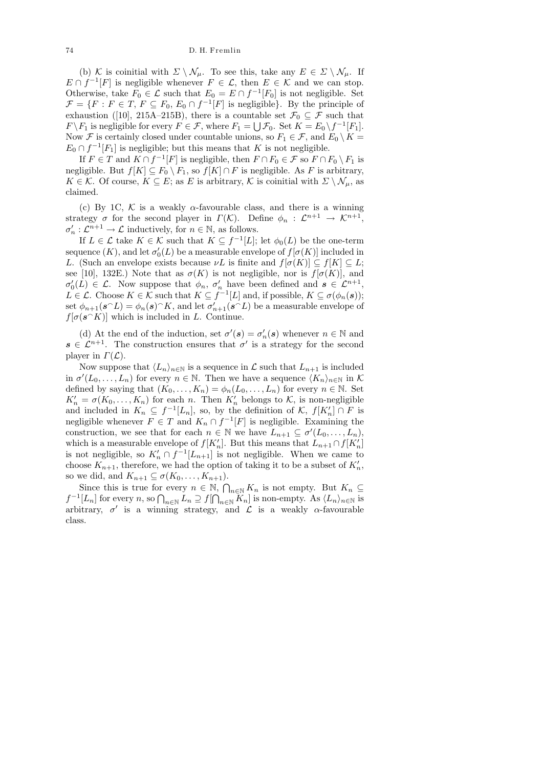(b) K is coinitial with  $\Sigma \setminus \mathcal{N}_{\mu}$ . To see this, take any  $E \in \Sigma \setminus \mathcal{N}_{\mu}$ . If  $E \cap f^{-1}[F]$  is negligible whenever  $F \in \mathcal{L}$ , then  $E \in \mathcal{K}$  and we can stop. Otherwise, take  $F_0 \in \mathcal{L}$  such that  $E_0 = E \cap f^{-1}[F_0]$  is not negligible. Set  $\mathcal{F} = \{F : F \in T, F \subseteq F_0, E_0 \cap f^{-1}[F] \text{ is negligible}\}.$  By the principle of exhaustion ([10], 215A–215B), there is a countable set  $\mathcal{F}_0 \subseteq \mathcal{F}$  such that  $F \backslash F_1$  is negligible for every  $F \in \mathcal{F}$ , where  $F_1 = \bigcup \mathcal{F}_0$ . Set  $K = E_0 \backslash f^{-1}[F_1]$ . Now F is certainly closed under countable unions, so  $F_1 \in \mathcal{F}$ , and  $E_0 \setminus K =$  $E_0 \cap f^{-1}[F_1]$  is negligible; but this means that K is not negligible.

If  $F \in T$  and  $K \cap f^{-1}[F]$  is negligible, then  $F \cap F_0 \in \mathcal{F}$  so  $F \cap F_0 \setminus F_1$  is negligible. But  $f[K] \subseteq F_0 \setminus F_1$ , so  $f[K] \cap F$  is negligible. As F is arbitrary,  $K \in \mathcal{K}$ . Of course,  $K \subseteq E$ ; as E is arbitrary, K is coinitial with  $\Sigma \setminus \mathcal{N}_{\mu}$ , as claimed.

(c) By 1C,  $K$  is a weakly  $\alpha$ -favourable class, and there is a winning strategy  $\sigma$  for the second player in  $\Gamma(\mathcal{K})$ . Define  $\phi_n : \mathcal{L}^{n+1} \to \mathcal{K}^{n+1}$ ,  $\sigma'_n : \mathcal{L}^{n+1} \to \mathcal{L}$  inductively, for  $n \in \mathbb{N}$ , as follows.

If  $L \in \mathcal{L}$  take  $K \in \mathcal{K}$  such that  $K \subseteq f^{-1}[L]$ ; let  $\phi_0(L)$  be the one-term sequence  $(K)$ , and let  $\sigma'_0(L)$  be a measurable envelope of  $f[\sigma(K)]$  included in L. (Such an envelope exists because  $\nu L$  is finite and  $f[\sigma(K)] \subseteq f[K] \subseteq L$ ; see [10], 132E.) Note that as  $\sigma(K)$  is not negligible, nor is  $f[\sigma(K)]$ , and  $\sigma'_0(L) \in \mathcal{L}$ . Now suppose that  $\phi_n$ ,  $\sigma'_n$  have been defined and  $s \in \mathcal{L}^{n+1}$ ,  $L \in \mathcal{L}$ . Choose  $K \in \mathcal{K}$  such that  $K \subseteq f^{-1}[L]$  and, if possible,  $K \subseteq \sigma(\phi_n(\mathbf{s}));$ set  $\phi_{n+1}(\mathbf{s} \cap L) = \phi_n(\mathbf{s}) \cap K$ , and let  $\sigma'_{n+1}(\mathbf{s} \cap L)$  be a measurable envelope of  $f[\sigma(s^k)]$  which is included in L. Continue.

(d) At the end of the induction, set  $\sigma'(s) = \sigma'_n(s)$  whenever  $n \in \mathbb{N}$  and  $s \in \mathcal{L}^{n+1}$ . The construction ensures that  $\sigma'$  is a strategy for the second player in  $\Gamma(\mathcal{L})$ .

Now suppose that  $\langle L_n \rangle_{n\in\mathbb{N}}$  is a sequence in  $\mathcal L$  such that  $L_{n+1}$  is included in  $\sigma'(L_0,\ldots,L_n)$  for every  $n \in \mathbb{N}$ . Then we have a sequence  $\langle K_n \rangle_{n \in \mathbb{N}}$  in K defined by saying that  $(K_0, \ldots, K_n) = \phi_n(L_0, \ldots, L_n)$  for every  $n \in \mathbb{N}$ . Set  $K'_n = \sigma(K_0, \ldots, K_n)$  for each n. Then  $K'_n$  belongs to K, is non-negligible and included in  $K_n \subseteq f^{-1}[L_n]$ , so, by the definition of K,  $f[K'_n] \cap F$  is negligible whenever  $F \in T$  and  $K_n \cap f^{-1}[F]$  is negligible. Examining the construction, we see that for each  $n \in \mathbb{N}$  we have  $L_{n+1} \subseteq \sigma'(L_0, \ldots, L_n)$ , which is a measurable envelope of  $f[K'_n]$ . But this means that  $L_{n+1} \cap f[K'_n]$ is not negligible, so  $K'_n \cap f^{-1}[L_{n+1}]$  is not negligible. When we came to choose  $K_{n+1}$ , therefore, we had the option of taking it to be a subset of  $K'_n$ , so we did, and  $K_{n+1} \subseteq \sigma(K_0, \ldots, K_{n+1}).$ 

Since this is true for every  $n \in \mathbb{N}$ ,  $\bigcap_{n \in \mathbb{N}} K_n$  is not empty. But  $K_n \subseteq$  $f^{-1}[L_n]$  for every n, so  $\bigcap_{n\in\mathbb{N}} L_n \supseteq f[\bigcap_{n\in\mathbb{N}} K_n]$  is non-empty. As  $\langle L_n\rangle_{n\in\mathbb{N}}$  is arbitrary,  $\sigma'$  is a winning strategy, and  $\mathcal L$  is a weakly  $\alpha$ -favourable class.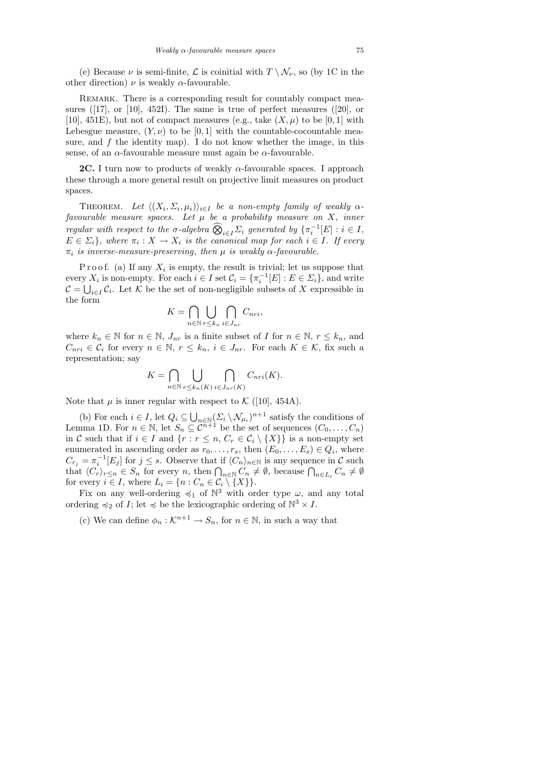(e) Because  $\nu$  is semi-finite,  $\mathcal L$  is coinitial with  $T \setminus \mathcal N_\nu$ , so (by 1C in the other direction)  $\nu$  is weakly  $\alpha$ -favourable.

REMARK. There is a corresponding result for countably compact measures ([17], or [10], 452I). The same is true of perfect measures ([20], or [10], 451E), but not of compact measures (e.g., take  $(X, \mu)$  to be [0, 1] with Lebesgue measure,  $(Y, \nu)$  to be [0, 1] with the countable-cocountable measure, and  $f$  the identity map). I do not know whether the image, in this sense, of an  $\alpha$ -favourable measure must again be  $\alpha$ -favourable.

**2C.** I turn now to products of weakly  $\alpha$ -favourable spaces. I approach these through a more general result on projective limit measures on product spaces.

THEOREM. Let  $\langle (X_i, \Sigma_i, \mu_i) \rangle_{i \in I}$  be a non-empty family of weakly  $\alpha$ favourable measure spaces. Let  $\mu$  be a probability measure on X, inner regular with respect to the  $\sigma$ -algebra  $\widehat{\bigotimes}_{i\in I}\Sigma_i$  generated by  $\{\pi_i^{-1}[E]: i\in I,$  $E \in \Sigma_i$ , where  $\pi_i: X \to X_i$  is the canonical map for each  $i \in I$ . If every  $\pi_i$  is inverse-measure-preserving, then  $\mu$  is weakly  $\alpha$ -favourable.

P r o o f. (a) If any  $X_i$  is empty, the result is trivial; let us suppose that every  $X_i$  is non-empty. For each  $i \in I$  set  $\mathcal{C}_i = {\pi_i^{-1}[E] : E \in \Sigma_i}$ , and write  $\mathcal{C} = \bigcup_{i \in I} \mathcal{C}_i$ . Let K be the set of non-negligible subsets of X expressible in the form

$$
K = \bigcap_{n \in \mathbb{N}} \bigcup_{r \leq k_n} \bigcap_{i \in J_{nr}} C_{nri},
$$

where  $k_n \in \mathbb{N}$  for  $n \in \mathbb{N}$ ,  $J_{nr}$  is a finite subset of I for  $n \in \mathbb{N}$ ,  $r \leq k_n$ , and  $C_{nri} \in \mathcal{C}_i$  for every  $n \in \mathbb{N}$ ,  $r \leq k_n$ ,  $i \in J_{nr}$ . For each  $K \in \mathcal{K}$ , fix such a representation; say

$$
K = \bigcap_{n \in \mathbb{N}} \bigcup_{r \le k_n(K)} \bigcap_{i \in J_{nr}(K)} C_{nri}(K).
$$

Note that  $\mu$  is inner regular with respect to  $\mathcal{K}$  ([10], 454A).

(b) For each  $i \in I$ , let  $Q_i \subseteq \bigcup_{n \in \mathbb{N}} (\Sigma_i \setminus \mathcal{N}_{\mu_i})^{n+1}$  satisfy the conditions of Lemma 1D. For  $n \in \mathbb{N}$ , let  $S_n \subseteq \mathbb{C}^{n+1}$  be the set of sequences  $(C_0, \ldots, C_n)$ in C such that if  $i \in I$  and  $\{r : r \leq n, C_r \in C_i \setminus \{X\}\}\)$  is a non-empty set enumerated in ascending order as  $r_0, \ldots, r_s$ , then  $(E_0, \ldots, E_s) \in Q_i$ , where  $C_{r_j} = \pi_i^{-1}[E_j]$  for  $j \leq s$ . Observe that if  $\langle C_n \rangle_{n \in \mathbb{N}}$  is any sequence in C such that  $\langle C_r \rangle_{r \leq n} \in S_n$  for every n, then  $\bigcap_{n \in \mathbb{N}} C_n \neq \emptyset$ , because  $\bigcap_{n \in L_i} C_n \neq \emptyset$ for every  $i \in I$ , where  $L_i = \{n : C_n \in \mathcal{C}_i \setminus \{X\}\}.$ 

Fix on any well-ordering  $\preccurlyeq_1$  of  $\mathbb{N}^3$  with order type  $\omega$ , and any total ordering  $\preccurlyeq_2$  of I; let  $\preccurlyeq$  be the lexicographic ordering of  $\mathbb{N}^3 \times I$ .

(c) We can define  $\phi_n : \mathcal{K}^{n+1} \to S_n$ , for  $n \in \mathbb{N}$ , in such a way that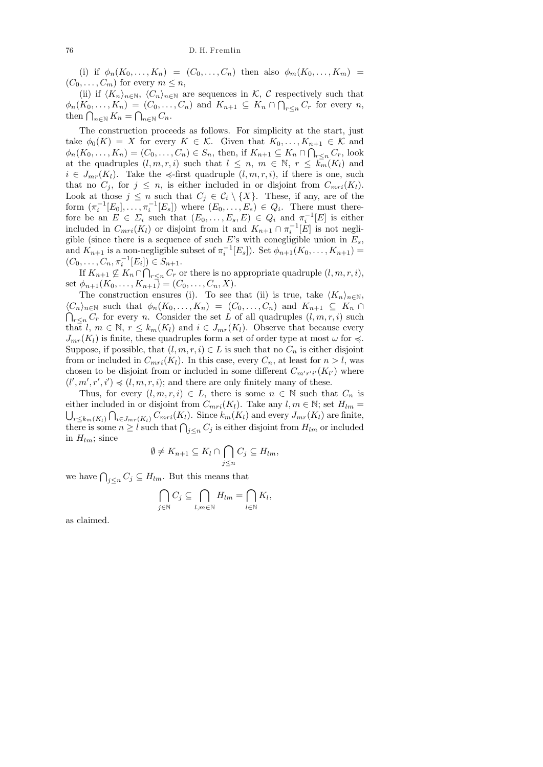(i) if  $\phi_n(K_0, ..., K_n) = (C_0, ..., C_n)$  then also  $\phi_m(K_0, ..., K_m)$  $(C_0, \ldots, C_m)$  for every  $m \leq n$ ,

(ii) if  $\langle K_n \rangle_{n \in \mathbb{N}}, \langle C_n \rangle_{n \in \mathbb{N}}$  are sequences in K, C respectively such that  $\phi_n(K_0,\ldots,K_n) = (C_0,\ldots,C_n)$  and  $K_{n+1} \subseteq K_n \cap \bigcap_{r \leq n} C_r$  for every n, then  $\bigcap_{n\in\mathbb{N}} K_n = \bigcap_{n\in\mathbb{N}} C_n$ .

The construction proceeds as follows. For simplicity at the start, just take  $\phi_0(K) = X$  for every  $K \in \mathcal{K}$ . Given that  $K_0, \ldots, K_{n+1} \in \mathcal{K}$  and  $\phi_n(K_0,\ldots,K_n)=(C_0,\ldots,C_n)\in S_n$ , then, if  $K_{n+1}\subseteq K_n\cap\bigcap_{r\leq n}C_r$ , look at the quadruples  $(l, m, r, i)$  such that  $l \leq n, m \in \mathbb{N}, r \leq k_m(K_l)$  and  $i \in J_{mr}(K_l)$ . Take the  $\preccurlyeq$ -first quadruple  $(l, m, r, i)$ , if there is one, such that no  $C_j$ , for  $j \leq n$ , is either included in or disjoint from  $C_{mri}(K_l)$ . Look at those  $j \leq n$  such that  $C_j \in \mathcal{C}_i \setminus \{X\}$ . These, if any, are of the form  $(\pi_i^{-1}[E_0], \ldots, \pi_i^{-1}[E_s])$  where  $(E_0, \ldots, E_s) \in Q_i$ . There must therefore be an  $E \in \Sigma_i$  such that  $(E_0, \ldots, E_s, E) \in Q_i$  and  $\pi_i^{-1}[E]$  is either included in  $C_{mri}(K_l)$  or disjoint from it and  $K_{n+1} \cap \pi_i^{-1}[E]$  is not negligible (since there is a sequence of such E's with conegligible union in  $E_s$ , and  $K_{n+1}$  is a non-negligible subset of  $\pi_i^{-1}[E_s]$ ). Set  $\phi_{n+1}(K_0,\ldots,K_{n+1})=$  $(C_0, \ldots, C_n, \pi_i^{-1}[E_i]) \in S_{n+1}.$ 

If  $K_{n+1} \nsubseteq K_n \cap \bigcap_{r \leq n} C_r$  or there is no appropriate quadruple  $(l, m, r, i)$ , set  $\phi_{n+1}(K_0, \ldots, K_{n+1}) = (C_0, \ldots, C_n, X).$ 

The construction ensures (i). To see that (ii) is true, take  $\langle K_n \rangle_{n \in \mathbb{N}}$ ,  $\langle C_n \rangle_{n \in \mathbb{N}}$  such that  $\phi_n(K_0, \ldots, K_n) = (C_0, \ldots, C_n)$  and  $K_{n+1} \subseteq K_n \cap$  $\bigcap_{r\leq n} C_r$  for every *n*. Consider the set L of all quadruples  $(l, m, r, i)$  such that l,  $m \in \mathbb{N}$ ,  $r \leq k_m(K_l)$  and  $i \in J_{mr}(K_l)$ . Observe that because every  $J_{mr}(K_l)$  is finite, these quadruples form a set of order type at most  $\omega$  for  $\preccurlyeq$ . Suppose, if possible, that  $(l, m, r, i) \in L$  is such that no  $C_n$  is either disjoint from or included in  $C_{mri}(K_l)$ . In this case, every  $C_n$ , at least for  $n > l$ , was chosen to be disjoint from or included in some different  $C_{m'r'i'}(K_{l'})$  where  $(l', m', r', i') \preccurlyeq (l, m, r, i)$ ; and there are only finitely many of these.

Thus, for every  $(l, m, r, i) \in L$ , there is some  $n \in \mathbb{N}$  such that  $C_n$  is either included in or disjoint from  $C_{mri}(K_l)$ . Take any  $l, m \in \mathbb{N}$ ; set  $H_{lm} =$  $\bigcup_{r\leq k_m(K_l)}\bigcap_{i\in J_{mr}(K_l)}C_{mri}(K_l).$  Since  $k_m(K_l)$  and every  $J_{mr}(K_l)$  are finite, there is some  $n \geq l$  such that  $\bigcap_{j \leq n} C_j$  is either disjoint from  $H_{lm}$  or included in  $H_{lm}$ ; since

$$
\emptyset \neq K_{n+1} \subseteq K_l \cap \bigcap_{j \leq n} C_j \subseteq H_{lm},
$$

we have  $\bigcap_{j\leq n} C_j \subseteq H_{lm}$ . But this means that

$$
\bigcap_{j\in\mathbb{N}} C_j \subseteq \bigcap_{l,m\in\mathbb{N}} H_{lm} = \bigcap_{l\in\mathbb{N}} K_l,
$$

as claimed.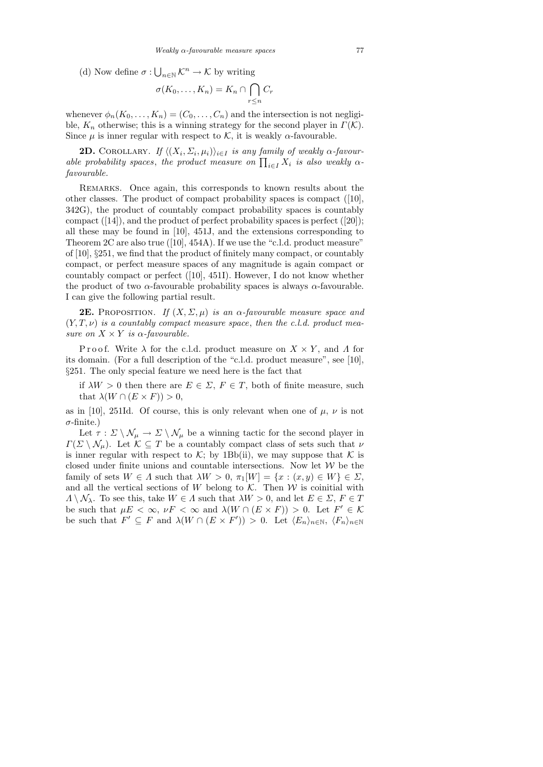(d) Now define  $\sigma: \bigcup_{n\in\mathbb{N}} \mathcal{K}^n \to \mathcal{K}$  by writing

$$
\sigma(K_0,\ldots,K_n)=K_n\cap\bigcap_{r\leq n}C_r
$$

whenever  $\phi_n(K_0, \ldots, K_n) = (C_0, \ldots, C_n)$  and the intersection is not negligible,  $K_n$  otherwise; this is a winning strategy for the second player in  $\Gamma(\mathcal{K})$ . Since  $\mu$  is inner regular with respect to K, it is weakly  $\alpha$ -favourable.

**2D.** COROLLARY. If  $\langle (X_i, \Sigma_i, \mu_i) \rangle_{i \in I}$  is any family of weakly  $\alpha$ -favourable probability spaces, the product measure on  $\prod_{i\in I} X_i$  is also weakly  $\alpha$ favourable.

REMARKS. Once again, this corresponds to known results about the other classes. The product of compact probability spaces is compact ([10], 342G), the product of countably compact probability spaces is countably compact ([14]), and the product of perfect probability spaces is perfect ([20]); all these may be found in [10], 451J, and the extensions corresponding to Theorem 2C are also true ([10], 454A). If we use the "c.l.d. product measure" of [10], §251, we find that the product of finitely many compact, or countably compact, or perfect measure spaces of any magnitude is again compact or countably compact or perfect ([10], 451I). However, I do not know whether the product of two  $\alpha$ -favourable probability spaces is always  $\alpha$ -favourable. I can give the following partial result.

**2E.** PROPOSITION. If  $(X, \Sigma, \mu)$  is an  $\alpha$ -favourable measure space and  $(Y, T, \nu)$  is a countably compact measure space, then the c.l.d. product measure on  $X \times Y$  is  $\alpha$ -favourable.

P r o o f. Write  $\lambda$  for the c.l.d. product measure on  $X \times Y$ , and  $\Lambda$  for its domain. (For a full description of the "c.l.d. product measure", see [10], §251. The only special feature we need here is the fact that

if  $\lambda W > 0$  then there are  $E \in \Sigma$ ,  $F \in T$ , both of finite measure, such that  $\lambda(W \cap (E \times F)) > 0$ ,

as in [10], 251Id. Of course, this is only relevant when one of  $\mu$ ,  $\nu$  is not  $\sigma$ -finite.)

Let  $\tau : \Sigma \setminus \mathcal{N}_{\mu} \to \Sigma \setminus \mathcal{N}_{\mu}$  be a winning tactic for the second player in  $\Gamma(\Sigma \setminus \mathcal{N}_\mu)$ . Let  $\mathcal{K} \subseteq T$  be a countably compact class of sets such that  $\nu$ is inner regular with respect to K; by 1Bb(ii), we may suppose that K is closed under finite unions and countable intersections. Now let  $W$  be the family of sets  $W \in \Lambda$  such that  $\lambda W > 0$ ,  $\pi_1[W] = \{x : (x, y) \in W\} \in \Sigma$ , and all the vertical sections of W belong to  $K$ . Then W is coinitial with  $\Lambda \setminus \mathcal{N}_{\lambda}$ . To see this, take  $W \in \Lambda$  such that  $\lambda W > 0$ , and let  $E \in \Sigma$ ,  $F \in T$ be such that  $\mu E < \infty$ ,  $\nu F < \infty$  and  $\lambda (W \cap (E \times F)) > 0$ . Let  $F' \in \mathcal{K}$ be such that  $F' \subseteq F$  and  $\lambda(W \cap (E \times F')) > 0$ . Let  $\langle E_n \rangle_{n \in \mathbb{N}}$ ,  $\langle F_n \rangle_{n \in \mathbb{N}}$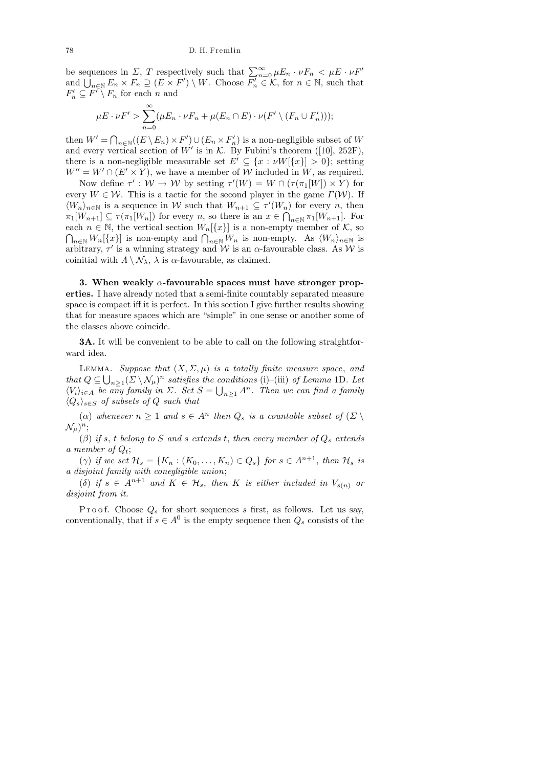be sequences in  $\Sigma$ , T respectively such that  $\sum_{n=0}^{\infty} \mu E_n \cdot \nu F_n < \mu E \cdot \nu F'$ and  $\bigcup_{n\in\mathbb{N}} E_n \times F_n \supseteq (E \times F') \setminus W$ . Choose  $\overline{F'_n} \in \mathcal{K}$ , for  $n \in \mathbb{N}$ , such that  $F'_n \subseteq F' \setminus F_n$  for each n and

$$
\mu E \cdot \nu F' > \sum_{n=0}^{\infty} (\mu E_n \cdot \nu F_n + \mu (E_n \cap E) \cdot \nu (F' \setminus (F_n \cup F'_n)))
$$

then  $W' = \bigcap_{n \in \mathbb{N}} ((E \setminus E_n) \times F') \cup (E_n \times F'_n)$  is a non-negligible subset of W and every vertical section of W' is in  $\mathcal{K}$ . By Fubini's theorem ([10], 252F), there is a non-negligible measurable set  $E' \subseteq \{x : \nu W[\{x\}] > 0\}$ ; setting  $W'' = W' \cap (E' \times Y)$ , we have a member of W included in W, as required.

Now define  $\tau' : \mathcal{W} \to \mathcal{W}$  by setting  $\tau'(W) = W \cap (\tau(\pi_1[W]) \times Y)$  for every  $W \in \mathcal{W}$ . This is a tactic for the second player in the game  $\Gamma(\mathcal{W})$ . If  $\langle W_n \rangle_{n \in \mathbb{N}}$  is a sequence in W such that  $W_{n+1} \subseteq \tau'(W_n)$  for every n, then  $\pi_1[W_{n+1}] \subseteq \tau(\pi_1[W_n])$  for every n, so there is an  $x \in \bigcap_{n \in \mathbb{N}} \pi_1[W_{n+1}]$ . For each  $n \in \mathbb{N}$ , the vertical section  $W_n[\lbrace x \rbrace]$  is a non-empty member of  $\mathcal{K}$ , so  $\bigcap_{n\in\mathbb{N}}W_n[\{x\}]$  is non-empty and  $\bigcap_{n\in\mathbb{N}}W_n$  is non-empty. As  $\langle W_n\rangle_{n\in\mathbb{N}}$  is arbitrary,  $\tau'$  is a winning strategy and W is an  $\alpha$ -favourable class. As W is coinitial with  $\Lambda \setminus \mathcal{N}_{\lambda}$ ,  $\lambda$  is  $\alpha$ -favourable, as claimed.

3. When weakly  $\alpha$ -favourable spaces must have stronger properties. I have already noted that a semi-finite countably separated measure space is compact iff it is perfect. In this section I give further results showing that for measure spaces which are "simple" in one sense or another some of the classes above coincide.

**3A.** It will be convenient to be able to call on the following straightforward idea.

LEMMA. Suppose that  $(X, \Sigma, \mu)$  is a totally finite measure space, and that  $Q \subseteq \bigcup_{n \geq 1} (\Sigma \setminus \mathcal{N}_{\mu})^n$  satisfies the conditions (i)–(iii) of Lemma 1D. Let  $\langle V_i \rangle_{i \in A}$  be any family in  $\Sigma$ . Set  $S = \bigcup_{n \geq 1} A^n$ . Then we can find a family  $\langle Q_s \rangle_{s \in S}$  of subsets of Q such that

( $\alpha$ ) whenever  $n \geq 1$  and  $s \in A^n$  then  $Q_s$  is a countable subset of  $(\Sigma \setminus$  $\mathcal{N}_{\mu})^n;$ 

( $\beta$ ) if s, t belong to S and s extends t, then every member of  $Q_s$  extends a member of  $Q_t$ ;

( $\gamma$ ) if we set  $\mathcal{H}_s = \{K_n : (K_0, \ldots, K_n) \in Q_s\}$  for  $s \in A^{n+1}$ , then  $\mathcal{H}_s$  is a disjoint family with conegligible union;

(δ) if  $s \in A^{n+1}$  and  $K \in \mathcal{H}_s$ , then K is either included in  $V_{s(n)}$  or disjoint from it.

Proof. Choose  $Q_s$  for short sequences s first, as follows. Let us say, conventionally, that if  $s \in A^0$  is the empty sequence then  $Q_s$  consists of the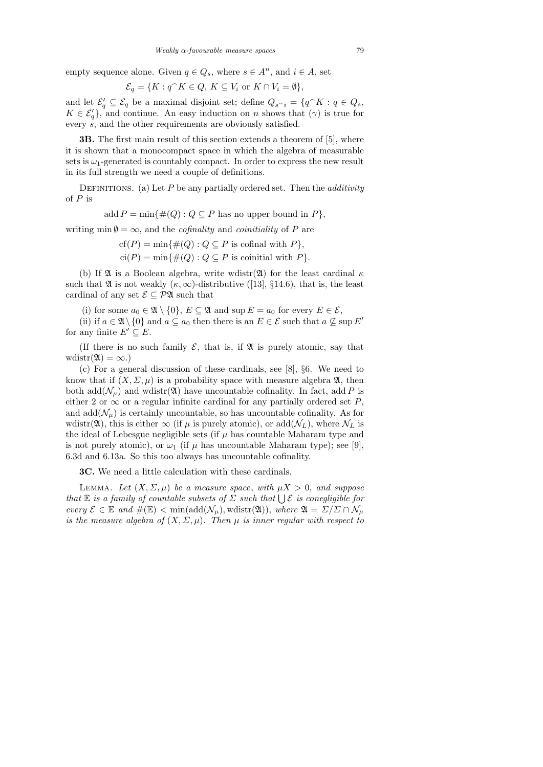empty sequence alone. Given  $q \in Q_s$ , where  $s \in A^n$ , and  $i \in A$ , set

$$
\mathcal{E}_q = \{ K : q^{\frown} K \in Q, K \subseteq V_i \text{ or } K \cap V_i = \emptyset \},\
$$

and let  $\mathcal{E}'_q \subseteq \mathcal{E}_q$  be a maximal disjoint set; define  $Q_{s \cap i} = \{q^{\frown} K : q \in Q_s,$  $K \in \mathcal{E}'_q$ , and continue. An easy induction on n shows that  $(\gamma)$  is true for every s, and the other requirements are obviously satisfied.

3B. The first main result of this section extends a theorem of [5], where it is shown that a monocompact space in which the algebra of measurable sets is  $\omega_1$ -generated is countably compact. In order to express the new result in its full strength we need a couple of definitions.

DEFINITIONS. (a) Let  $P$  be any partially ordered set. Then the *additivity* of  $P$  is

add  $P = \min\{\#(Q): Q \subseteq P$  has no upper bound in  $P\}$ ,

writing min  $\emptyset = \infty$ , and the *cofinality* and *coinitiality* of P are

$$
cf(P) = min\{\#(Q) : Q \subseteq P \text{ is cofinal with } P\},\
$$

$$
ci(P) = min\{\#(Q) : Q \subseteq P \text{ is coinitial with } P\}.
$$

(b) If  $\mathfrak A$  is a Boolean algebra, write wdistr( $\mathfrak A$ ) for the least cardinal  $\kappa$ such that  $\mathfrak A$  is not weakly  $(\kappa,\infty)$ -distributive ([13], §14.6), that is, the least cardinal of any set  $\mathcal{E} \subseteq \mathcal{P} \mathfrak{A}$  such that

(i) for some  $a_0 \in \mathfrak{A} \setminus \{0\}$ ,  $E \subseteq \mathfrak{A}$  and  $\sup E = a_0$  for every  $E \in \mathcal{E}$ ,

(ii) if  $a \in \mathfrak{A} \setminus \{0\}$  and  $a \subseteq a_0$  then there is an  $E \in \mathcal{E}$  such that  $a \nsubseteq \text{sup } E'$ for any finite  $E' \subseteq E$ .

(If there is no such family  $\mathcal{E}$ , that is, if  $\mathfrak{A}$  is purely atomic, say that wdistr $(\mathfrak{A}) = \infty.$ 

(c) For a general discussion of these cardinals, see [8], §6. We need to know that if  $(X, \Sigma, \mu)$  is a probability space with measure algebra  $\mathfrak{A}$ , then both add( $\mathcal{N}_\mu$ ) and wdistr(20) have uncountable cofinality. In fact, add P is either 2 or  $\infty$  or a regular infinite cardinal for any partially ordered set P, and  $\text{add}(\mathcal{N}_{\mu})$  is certainly uncountable, so has uncountable cofinality. As for wdistr( $\mathfrak{A}$ ), this is either  $\infty$  (if  $\mu$  is purely atomic), or add( $\mathcal{N}_L$ ), where  $\mathcal{N}_L$  is the ideal of Lebesgue negligible sets (if  $\mu$  has countable Maharam type and is not purely atomic), or  $\omega_1$  (if  $\mu$  has uncountable Maharam type); see [9], 6.3d and 6.13a. So this too always has uncountable cofinality.

3C. We need a little calculation with these cardinals.

LEMMA. Let  $(X, \Sigma, \mu)$  be a measure space, with  $\mu X > 0$ , and suppose that  $\mathbb E$  is a family of countable subsets of  $\Sigma$  such that  $\bigcup \mathcal E$  is conegligible for every  $\mathcal{E} \in \mathbb{E}$  and  $\#(\mathbb{E}) < \min(\text{add}(\mathcal{N}_{\mu}), \text{wdist}(\mathfrak{A})),$  where  $\mathfrak{A} = \Sigma/\Sigma \cap \mathcal{N}_{\mu}$ is the measure algebra of  $(X, \Sigma, \mu)$ . Then  $\mu$  is inner regular with respect to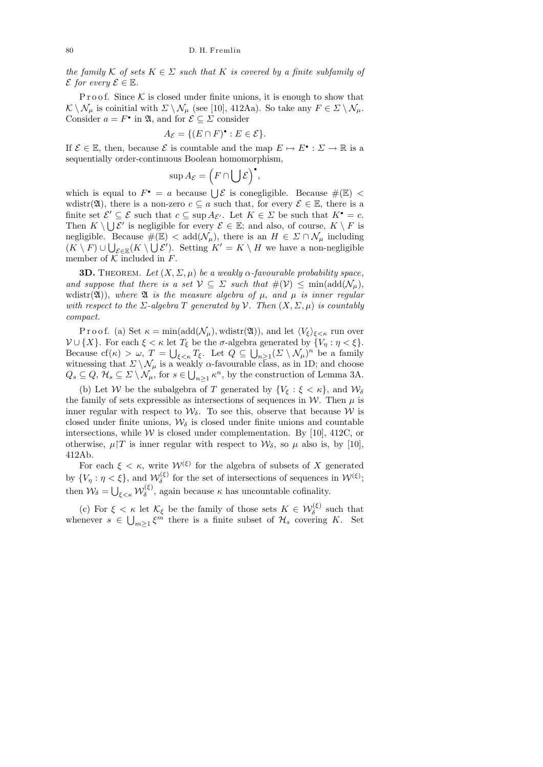the family K of sets  $K \in \Sigma$  such that K is covered by a finite subfamily of  $\mathcal E$  for every  $\mathcal E \in \mathbb E$ .

Proof. Since  $K$  is closed under finite unions, it is enough to show that  $\mathcal{K} \setminus \mathcal{N}_{\mu}$  is coinitial with  $\Sigma \setminus \mathcal{N}_{\mu}$  (see [10], 412Aa). So take any  $F \in \Sigma \setminus \mathcal{N}_{\mu}$ . Consider  $a = F^{\bullet}$  in  $\mathfrak{A}$ , and for  $\mathcal{E} \subseteq \mathcal{E}$  consider

$$
A_{\mathcal{E}} = \{ (E \cap F)^{\bullet} : E \in \mathcal{E} \}.
$$

If  $\mathcal{E} \in \mathbb{E}$ , then, because  $\mathcal{E}$  is countable and the map  $E \mapsto E^{\bullet} : \Sigma \to \mathbb{R}$  is a sequentially order-continuous Boolean homomorphism,

$$
\sup A_{\mathcal{E}} = (F \cap \bigcup \mathcal{E})^{\bullet},
$$

which is equal to  $F^{\bullet} = a$  because  $\bigcup \mathcal{E}$  is conegligible. Because  $\#(\mathbb{E})$  < wdistr( $\mathfrak{A}$ ), there is a non-zero  $c \subseteq a$  such that, for every  $\mathcal{E} \in \mathbb{E}$ , there is a finite set  $\mathcal{E}' \subseteq \mathcal{E}$  such that  $c \subseteq \text{sup } A_{\mathcal{E}'}$ . Let  $K \in \mathcal{E}$  be such that  $K^{\bullet} = c$ . Then  $K \setminus \bigcup \mathcal{E}'$  is negligible for every  $\mathcal{E} \in \mathbb{E}$ ; and also, of course,  $K \setminus F$  is negligible. Because  $\#(\mathbb{E}) < \text{add}(\mathcal{N}_{\mu})$ , there is an  $H \in \Sigma \cap \mathcal{N}_{\mu}$  including  $(K \setminus F) \cup \bigcup_{\mathcal{E} \in \mathbb{E}} (K \setminus \bigcup \mathcal{E}')$ . Setting  $K' = K \setminus H$  we have a non-negligible member of  $K$  included in  $F$ .

**3D.** THEOREM. Let  $(X, \Sigma, \mu)$  be a weakly  $\alpha$ -favourable probability space, and suppose that there is a set  $V \subseteq \Sigma$  such that  $\#(\mathcal{V}) \le \min(\text{add}(\mathcal{N}_{\mu}),$ wdistr( $\mathfrak{A}$ )), where  $\mathfrak A$  is the measure algebra of  $\mu$ , and  $\mu$  is inner regular with respect to the  $\Sigma$ -algebra T generated by  $\mathcal V$ . Then  $(X, \Sigma, \mu)$  is countably compact.

P r o o f. (a) Set  $\kappa = \min(\text{add}(\mathcal{N}_{\mu}), \text{wdistr}(\mathfrak{A}))$ , and let  $\langle V_{\xi} \rangle_{\xi < \kappa}$  run over  $\mathcal{V} \cup \{X\}$ . For each  $\xi < \kappa$  let  $T_{\xi}$  be the  $\sigma$ -algebra generated by  $\{V_{\eta} : \eta < \xi\}$ . Because  $cf(\kappa) > \omega$ ,  $T = \bigcup_{\xi < \kappa} T_{\xi}$ . Let  $Q \subseteq \bigcup_{n \geq 1} (\Sigma \setminus \mathcal{N}_{\mu})^n$  be a family witnessing that  $\Sigma \setminus \mathcal{N}_{\mu}$  is a weakly  $\alpha$ -favourable class, as in 1D; and choose  $Q_s \subseteq Q$ ,  $\mathcal{H}_s \subseteq \Sigma \setminus \mathcal{N}_{\mu}$ , for  $s \in \bigcup_{n \geq 1} \kappa^n$ , by the construction of Lemma 3A.

(b) Let W be the subalgebra of T generated by  $\{V_{\xi} : \xi < \kappa\}$ , and  $\mathcal{W}_{\delta}$ the family of sets expressible as intersections of sequences in W. Then  $\mu$  is inner regular with respect to  $\mathcal{W}_{\delta}$ . To see this, observe that because W is closed under finite unions,  $\mathcal{W}_{\delta}$  is closed under finite unions and countable intersections, while  $W$  is closed under complementation. By [10], 412C, or otherwise,  $\mu$ |T is inner regular with respect to  $\mathcal{W}_{\delta}$ , so  $\mu$  also is, by [10], 412Ab.

For each  $\xi < \kappa$ , write  $\mathcal{W}^{(\xi)}$  for the algebra of subsets of X generated by  $\{V_{\eta} : \eta < \xi\}$ , and  $\mathcal{W}_{\delta}^{(\xi)}$  $\delta_{\delta}^{(\xi)}$  for the set of intersections of sequences in  $\mathcal{W}^{(\xi)}$ ; then  $\mathcal{W}_{\delta} = \bigcup_{\xi < \kappa} \mathcal{W}_{\delta}^{(\xi)}$  $\delta^{\mathcal{S}}$ , again because  $\kappa$  has uncountable cofinality.

(c) For  $\xi < \kappa$  let  $\mathcal{K}_{\xi}$  be the family of those sets  $K \in \mathcal{W}_{\delta}^{(\xi)}$  such that whenever  $s \in \bigcup_{m\geq 1} \xi^m$  there is a finite subset of  $\mathcal{H}_s$  covering K. Set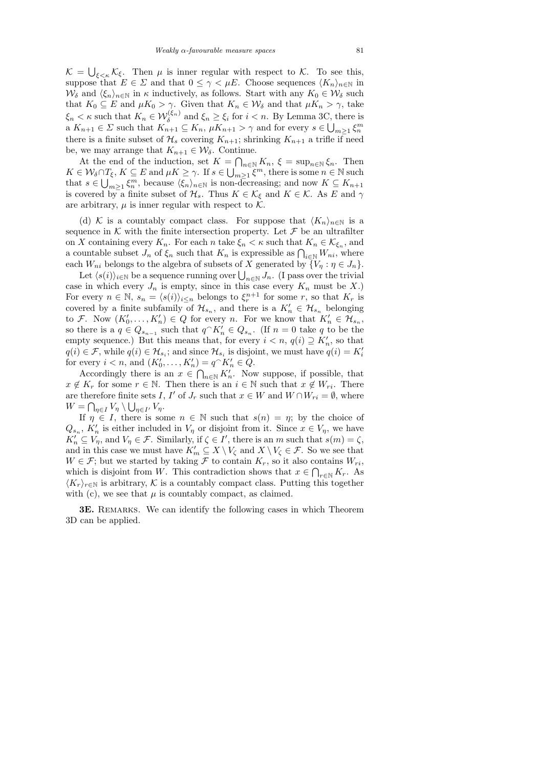$\mathcal{K} = \bigcup_{\xi < \kappa} \mathcal{K}_{\xi}$ . Then  $\mu$  is inner regular with respect to  $\mathcal{K}$ . To see this, suppose that  $E \in \Sigma$  and that  $0 \leq \gamma < \mu E$ . Choose sequences  $\langle K_n \rangle_{n \in \mathbb{N}}$  in  $W_\delta$  and  $\langle \xi_n \rangle_{n\in\mathbb{N}}$  in  $\kappa$  inductively, as follows. Start with any  $K_0 \in \mathcal{W}_\delta$  such that  $K_0 \subseteq E$  and  $\mu K_0 > \gamma$ . Given that  $K_n \in \mathcal{W}_\delta$  and that  $\mu K_n > \gamma$ , take  $\xi_n < \kappa$  such that  $K_n \in \mathcal{W}_{\delta}^{(\xi_n)}$  and  $\xi_n \ge \xi_i$  for  $i < n$ . By Lemma 3C, there is a  $K_{n+1} \in \Sigma$  such that  $K_{n+1} \subseteq K_n$ ,  $\mu K_{n+1} > \gamma$  and for every  $s \in \bigcup_{m \geq 1} \xi_n^m$ there is a finite subset of  $\mathcal{H}_s$  covering  $K_{n+1}$ ; shrinking  $K_{n+1}$  a trifle if need be, we may arrange that  $K_{n+1} \in \mathcal{W}_{\delta}$ . Continue.

At the end of the induction, set  $K = \bigcap_{n \in \mathbb{N}} K_n$ ,  $\xi = \sup_{n \in \mathbb{N}} \xi_n$ . Then  $K \in \mathcal{W}_\delta \cap T_\xi, K \subseteq E$  and  $\mu K \geq \gamma$ . If  $s \in \bigcup_{m \geq 1}^{\infty} \xi^m$ , there is some  $n \in \mathbb{N}$  such that  $s \in \bigcup_{m\geq 1} \xi_n^m$ , because  $\langle \xi_n \rangle_{n\in\mathbb{N}}$  is non-decreasing; and now  $K \subseteq K_{n+1}$ is covered by a finite subset of  $\mathcal{H}_s$ . Thus  $K \in \mathcal{K}_{\xi}$  and  $K \in \mathcal{K}$ . As E and  $\gamma$ are arbitrary,  $\mu$  is inner regular with respect to  $\mathcal{K}$ .

(d) K is a countably compact class. For suppose that  $\langle K_n \rangle_{n \in \mathbb{N}}$  is a sequence in  $K$  with the finite intersection property. Let  $\mathcal F$  be an ultrafilter on X containing every  $K_n$ . For each n take  $\xi_n < \kappa$  such that  $K_n \in \mathcal{K}_{\xi_n}$ , and a countable subset  $J_n$  of  $\xi_n$  such that  $K_n$  is expressible as  $\bigcap_{i\in\mathbb{N}} W_{ni}$ , where each  $W_{ni}$  belongs to the algebra of subsets of X generated by  $\{V_{\eta} : \eta \in J_n\}.$ 

Let  $\langle s(i)\rangle_{i\in\mathbb{N}}$  be a sequence running over  $\bigcup_{n\in\mathbb{N}} J_n$ . (I pass over the trivial case in which every  $J_n$  is empty, since in this case every  $K_n$  must be X.) For every  $n \in \mathbb{N}$ ,  $s_n = \langle s(i) \rangle_{i \leq n}$  belongs to  $\xi_r^{n+1}$  for some r, so that  $K_r$  is covered by a finite subfamily of  $\mathcal{H}_{s_n}$ , and there is a  $K'_n \in \mathcal{H}_{s_n}$  belonging to F. Now  $(K'_0, \ldots, K'_n) \in Q$  for every n. For we know that  $K'_n \in \mathcal{H}_{s_n}$ , so there is a  $q \in Q_{s_{n-1}}$  such that  $q \cap K'_n \in Q_{s_n}$ . (If  $n = 0$  take q to be the empty sequence.) But this means that, for every  $i < n$ ,  $q(i) \supseteq K'_n$ , so that  $q(i) \in \mathcal{F}$ , while  $q(i) \in \mathcal{H}_{s_i}$ ; and since  $\mathcal{H}_{s_i}$  is disjoint, we must have  $q(i) = K'_i$ for every  $i < n$ , and  $(K'_0, \ldots, K'_n) = q^{\frown} K'_n \in Q$ .

Accordingly there is an  $x \in \bigcap_{n\in\mathbb{N}} K'_n$ . Now suppose, if possible, that  $x \notin K_r$  for some  $r \in \mathbb{N}$ . Then there is an  $i \in \mathbb{N}$  such that  $x \notin W_{ri}$ . There are therefore finite sets I, I' of  $J_r$  such that  $x \in W$  and  $W \cap W_{ri} = \emptyset$ , where  $W = \bigcap_{\eta \in I} V_{\eta} \setminus \bigcup_{\eta \in I'} V_{\eta}.$ 

If  $\eta \in I$ , there is some  $n \in \mathbb{N}$  such that  $s(n) = \eta$ ; by the choice of  $Q_{s_n}$ ,  $K'_n$  is either included in  $V_\eta$  or disjoint from it. Since  $x \in V_\eta$ , we have  $K'_n \subseteq V_\eta$ , and  $V_\eta \in \mathcal{F}$ . Similarly, if  $\zeta \in I'$ , there is an m such that  $s(m) = \zeta$ , and in this case we must have  $K'_m \subseteq X \setminus V_\zeta$  and  $X \setminus V_\zeta \in \mathcal{F}$ . So we see that  $W \in \mathcal{F}$ ; but we started by taking  $\mathcal F$  to contain  $K_r$ , so it also contains  $W_{ri}$ , which is disjoint from W. This contradiction shows that  $x \in \bigcap_{r \in \mathbb{N}} K_r$ . As  $\langle K_r \rangle_{r \in \mathbb{N}}$  is arbitrary, K is a countably compact class. Putting this together with (c), we see that  $\mu$  is countably compact, as claimed.

3E. REMARKS. We can identify the following cases in which Theorem 3D can be applied.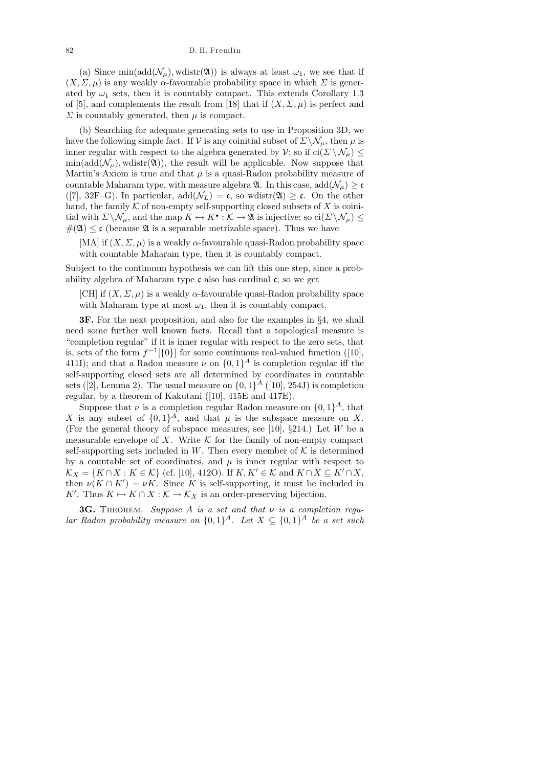(a) Since min(add( $\mathcal{N}_{\mu}$ ), wdistr(20)) is always at least  $\omega_1$ , we see that if  $(X, \Sigma, \mu)$  is any weakly  $\alpha$ -favourable probability space in which  $\Sigma$  is generated by  $\omega_1$  sets, then it is countably compact. This extends Corollary 1.3 of [5], and complements the result from [18] that if  $(X, \Sigma, \mu)$  is perfect and  $\Sigma$  is countably generated, then  $\mu$  is compact.

(b) Searching for adequate generating sets to use in Proposition 3D, we have the following simple fact. If V is any coinitial subset of  $\Sigma \setminus \mathcal{N}_{\mu}$ , then  $\mu$  is inner regular with respect to the algebra generated by  $\mathcal{V}$ ; so if ci $(\Sigma \setminus \mathcal{N}_{\mu}) \leq$  $\min(\text{add}(\mathcal{N}_{\mu}), \text{wdistr}(\mathfrak{A}))$ , the result will be applicable. Now suppose that Martin's Axiom is true and that  $\mu$  is a quasi-Radon probability measure of countable Maharam type, with measure algebra  $\mathfrak{A}$ . In this case, add $(\mathcal{N}_{\mu}) \geq c$ ([7], 32F–G). In particular,  $add(\mathcal{N}_L) = \mathfrak{c}$ , so wdistr( $\mathfrak{A} \geq \mathfrak{c}$ . On the other hand, the family  $K$  of non-empty self-supporting closed subsets of  $X$  is coinitial with  $\Sigma \backslash \mathcal{N}_{\mu}$ , and the map  $K \mapsto K^{\bullet} : \mathcal{K} \to \mathfrak{A}$  is injective; so  $\text{ci}(\Sigma \backslash \mathcal{N}_{\mu}) \le$  $\#(\mathfrak{A}) \leq \mathfrak{c}$  (because  $\mathfrak{A}$  is a separable metrizable space). Thus we have

[MA] if  $(X, \Sigma, \mu)$  is a weakly  $\alpha$ -favourable quasi-Radon probability space with countable Maharam type, then it is countably compact.

Subject to the continuum hypothesis we can lift this one step, since a probability algebra of Maharam type c also has cardinal c; so we get

[CH] if  $(X, \Sigma, \mu)$  is a weakly  $\alpha$ -favourable quasi-Radon probability space with Maharam type at most  $\omega_1$ , then it is countably compact.

3F. For the next proposition, and also for the examples in §4, we shall need some further well known facts. Recall that a topological measure is "completion regular" if it is inner regular with respect to the zero sets, that is, sets of the form  $f^{-1}[\{0\}]$  for some continuous real-valued function ([10], 411I); and that a Radon measure  $\nu$  on  $\{0,1\}^A$  is completion regular iff the self-supporting closed sets are all determined by coordinates in countable sets ([2], Lemma 2). The usual measure on  $\{0,1\}^A$  ([10], 254J) is completion regular, by a theorem of Kakutani ([10], 415E and 417E).

Suppose that  $\nu$  is a completion regular Radon measure on  $\{0,1\}^A$ , that X is any subset of  $\{0,1\}^A$ , and that  $\mu$  is the subspace measure on X. (For the general theory of subspace measures, see [10],  $\S 214$ .) Let W be a measurable envelope of X. Write  $K$  for the family of non-empty compact self-supporting sets included in W. Then every member of  $K$  is determined by a countable set of coordinates, and  $\mu$  is inner regular with respect to  $\mathcal{K}_X = \{K \cap X : K \in \mathcal{K}\}\$  (cf. [10], 412O). If  $K, K' \in \mathcal{K}$  and  $K \cap X \subseteq K' \cap X$ , then  $\nu(K \cap K') = \nu K$ . Since K is self-supporting, it must be included in K'. Thus  $K \mapsto K \cap X : \mathcal{K} \to \mathcal{K}_X$  is an order-preserving bijection.

**3G.** THEOREM. Suppose A is a set and that  $\nu$  is a completion regular Radon probability measure on  $\{0,1\}^A$ . Let  $X \subseteq \{0,1\}^A$  be a set such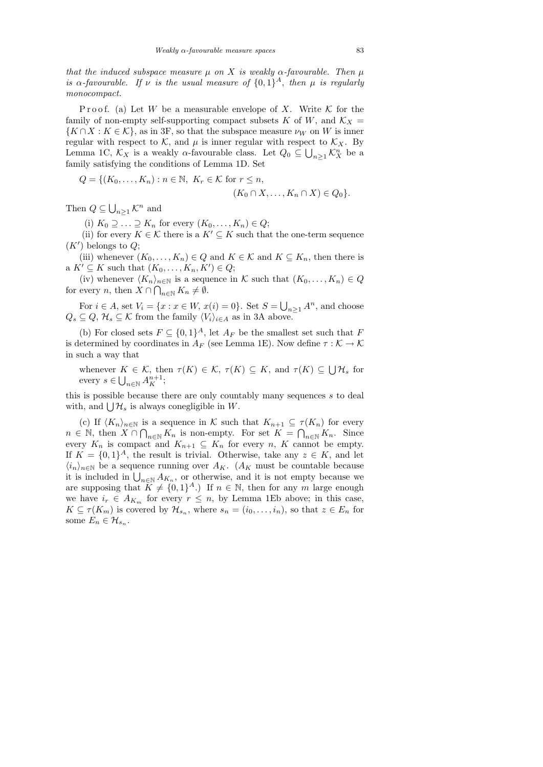that the induced subspace measure  $\mu$  on X is weakly  $\alpha$ -favourable. Then  $\mu$ is  $\alpha$ -favourable. If  $\nu$  is the usual measure of  $\{0,1\}^A$ , then  $\mu$  is regularly monocompact.

P roof. (a) Let W be a measurable envelope of X. Write  $K$  for the family of non-empty self-supporting compact subsets K of W, and  $\mathcal{K}_X$  =  $\{K \cap X : K \in \mathcal{K}\}\$ , as in 3F, so that the subspace measure  $\nu_W$  on W is inner regular with respect to K, and  $\mu$  is inner regular with respect to  $\mathcal{K}_X$ . By Lemma 1C,  $\mathcal{K}_X$  is a weakly  $\alpha$ -favourable class. Let  $Q_0 \subseteq \bigcup_{n \geq 1} \mathcal{K}_X^n$  be a family satisfying the conditions of Lemma 1D. Set

$$
Q = \{ (K_0, \dots, K_n) : n \in \mathbb{N}, K_r \in \mathcal{K} \text{ for } r \leq n, (K_0 \cap X, \dots, K_n \cap X) \in Q_0 \}.
$$

Then  $Q \subseteq \bigcup_{n \geq 1} \mathcal{K}^n$  and

(i)  $K_0 \supseteq \ldots \supseteq K_n$  for every  $(K_0, \ldots, K_n) \in Q;$ 

(ii) for every  $K \in \mathcal{K}$  there is a  $K' \subseteq K$  such that the one-term sequence  $(K')$  belongs to  $Q$ ;

(iii) whenever  $(K_0, \ldots, K_n) \in Q$  and  $K \in \mathcal{K}$  and  $K \subseteq K_n$ , then there is a  $K' \subseteq K$  such that  $(K_0, \ldots, K_n, K') \in Q;$ 

(iv) whenever  $\langle K_n \rangle_{n \in \mathbb{N}}$  is a sequence in K such that  $(K_0, \ldots, K_n) \in Q$ for every *n*, then  $X \cap \bigcap_{n \in \mathbb{N}} K_n \neq \emptyset$ .

For  $i \in A$ , set  $V_i = \{x : x \in W, x(i) = 0\}$ . Set  $S = \bigcup_{n \geq 1} A^n$ , and choose  $Q_s \subseteq Q$ ,  $\mathcal{H}_s \subseteq \mathcal{K}$  from the family  $\langle V_i \rangle_{i \in A}$  as in 3A above.

(b) For closed sets  $F \subseteq \{0,1\}^A$ , let  $A_F$  be the smallest set such that F is determined by coordinates in  $A_F$  (see Lemma 1E). Now define  $\tau : \mathcal{K} \to \mathcal{K}$ in such a way that

whenever  $K \in \mathcal{K}$ , then  $\tau(K) \in \mathcal{K}$ ,  $\tau(K) \subseteq K$ , and  $\tau(K) \subseteq \bigcup \mathcal{H}_s$  for every  $s \in \bigcup_{n \in \mathbb{N}} A_K^{n+1};$ 

this is possible because there are only countably many sequences s to deal with, and  $\bigcup \mathcal{H}_s$  is always conegligible in W.

(c) If  $\langle K_n \rangle_{n \in \mathbb{N}}$  is a sequence in K such that  $K_{n+1} \subseteq \tau(K_n)$  for every  $n \in \mathbb{N}$ , then  $X \cap \bigcap_{n \in \mathbb{N}} K_n$  is non-empty. For set  $K = \bigcap_{n \in \mathbb{N}} K_n$ . Since every  $K_n$  is compact and  $K_{n+1} \subseteq K_n$  for every n, K cannot be empty. If  $K = \{0,1\}^A$ , the result is trivial. Otherwise, take any  $z \in K$ , and let  $\langle i_n \rangle_{n \in \mathbb{N}}$  be a sequence running over  $A_K$ . ( $A_K$  must be countable because it is included in  $\bigcup_{n\in\mathbb{N}} A_{K_n}$ , or otherwise, and it is not empty because we are supposing that  $K \neq \{0, 1\}^A$ .) If  $n \in \mathbb{N}$ , then for any m large enough we have  $i_r \in A_{K_m}$  for every  $r \leq n$ , by Lemma 1Eb above; in this case,  $K \subseteq \tau(K_m)$  is covered by  $\mathcal{H}_{s_n}$ , where  $s_n = (i_0, \ldots, i_n)$ , so that  $z \in E_n$  for some  $E_n \in \mathcal{H}_{s_n}$ .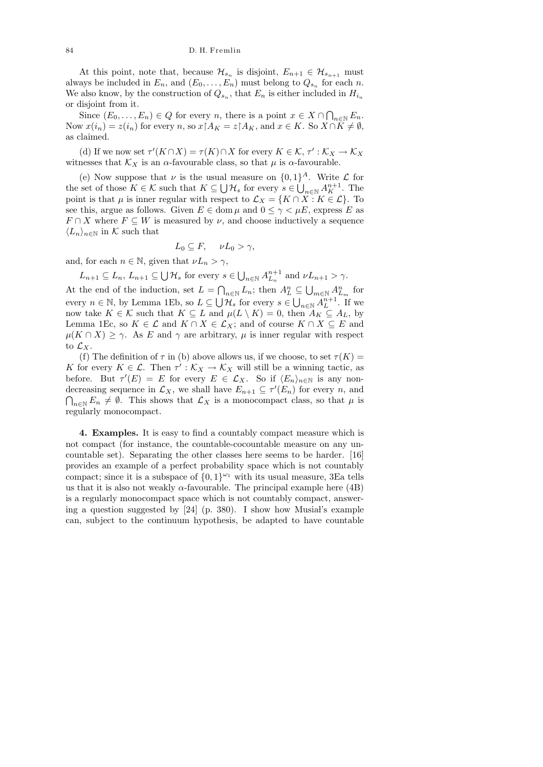At this point, note that, because  $\mathcal{H}_{s_n}$  is disjoint,  $E_{n+1} \in \mathcal{H}_{s_{n+1}}$  must always be included in  $E_n$ , and  $(E_0, \ldots, E_n)$  must belong to  $Q_{s_n}$  for each n. We also know, by the construction of  $Q_{s_n}$ , that  $E_n$  is either included in  $H_{i_n}$ or disjoint from it.

Since  $(E_0, \ldots, E_n) \in Q$  for every n, there is a point  $x \in X \cap \bigcap_{n \in \mathbb{N}} E_n$ . Now  $x(i_n) = z(i_n)$  for every n, so  $x \upharpoonright A_K = z \upharpoonright A_K$ , and  $x \in K$ . So  $X \cap K \neq \emptyset$ , as claimed.

(d) If we now set  $\tau'(K \cap X) = \tau(K) \cap X$  for every  $K \in \mathcal{K}$ ,  $\tau' : \mathcal{K}_X \to \mathcal{K}_X$ witnesses that  $\mathcal{K}_X$  is an  $\alpha$ -favourable class, so that  $\mu$  is  $\alpha$ -favourable.

(e) Now suppose that  $\nu$  is the usual measure on  $\{0,1\}^A$ . Write  $\mathcal L$  for the set of those  $K \in \mathcal{K}$  such that  $K \subseteq \bigcup \mathcal{H}_s$  for every  $s \in \bigcup_{n \in \mathbb{N}} A_K^{n+1}$ . The point is that  $\mu$  is inner regular with respect to  $\mathcal{L}_X = \{K \cap X : K \in \mathcal{L}\}\.$  To see this, argue as follows. Given  $E \in \text{dom } \mu$  and  $0 \leq \gamma < \mu E$ , express E as  $F \cap X$  where  $F \subseteq W$  is measured by  $\nu$ , and choose inductively a sequence  $\langle L_n \rangle_{n \in \mathbb{N}}$  in K such that

$$
L_0 \subseteq F, \quad \nu L_0 > \gamma,
$$

and, for each  $n \in \mathbb{N}$ , given that  $\nu L_n > \gamma$ ,

 $L_{n+1} \subseteq L_n$ ,  $L_{n+1} \subseteq \bigcup \mathcal{H}_s$  for every  $s \in \bigcup_{n \in \mathbb{N}} A_{L_n}^{n+1}$  and  $\nu L_{n+1} > \gamma$ .

At the end of the induction, set  $L = \bigcap_{n \in \mathbb{N}} L_n$ ; then  $A_L^n \subseteq \bigcup_{m \in \mathbb{N}} A_{L_m}^n$  for every  $n \in \mathbb{N}$ , by Lemma 1Eb, so  $L \subseteq \bigcup \mathcal{H}_s$  for every  $s \in \bigcup_{n \in \mathbb{N}} A_L^{n+1}$ . If we now take  $K \in \mathcal{K}$  such that  $K \subseteq L$  and  $\mu(L \setminus K) = 0$ , then  $A_K \subseteq A_L$ , by Lemma 1Ec, so  $K \in \mathcal{L}$  and  $K \cap X \in \mathcal{L}_X$ ; and of course  $K \cap X \subseteq E$  and  $\mu(K \cap X) \geq \gamma$ . As E and  $\gamma$  are arbitrary,  $\mu$  is inner regular with respect to  $\mathcal{L}_X$ .

(f) The definition of  $\tau$  in (b) above allows us, if we choose, to set  $\tau(K)$  = K for every  $K \in \mathcal{L}$ . Then  $\tau' : \mathcal{K}_X \to \mathcal{K}_X$  will still be a winning tactic, as before. But  $\tau'(E) = E$  for every  $E \in \mathcal{L}_X$ . So if  $\langle E_n \rangle_{n \in \mathbb{N}}$  is any nondecreasing sequence in  $\mathcal{L}_X$ , we shall have  $E_{n+1} \subseteq \tau'(E_n)$  for every n, and  $\bigcap_{n\in\mathbb{N}} E_n \neq \emptyset$ . This shows that  $\mathcal{L}_X$  is a monocompact class, so that  $\mu$  is regularly monocompact.

4. Examples. It is easy to find a countably compact measure which is not compact (for instance, the countable-cocountable measure on any uncountable set). Separating the other classes here seems to be harder. [16] provides an example of a perfect probability space which is not countably compact; since it is a subspace of  $\{0,1\}^{\omega_1}$  with its usual measure, 3Ea tells us that it is also not weakly  $\alpha$ -favourable. The principal example here (4B) is a regularly monocompact space which is not countably compact, answering a question suggested by  $[24]$  (p. 380). I show how Musial's example can, subject to the continuum hypothesis, be adapted to have countable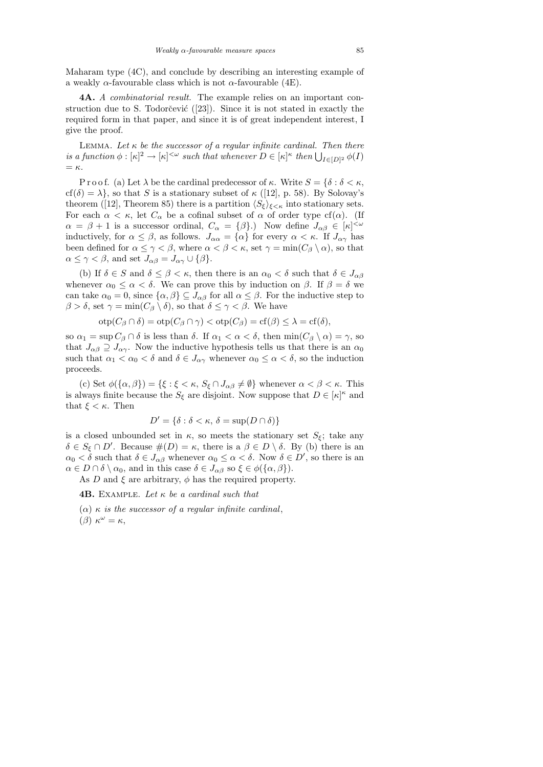Maharam type (4C), and conclude by describing an interesting example of a weakly  $\alpha$ -favourable class which is not  $\alpha$ -favourable (4E).

4A. A combinatorial result. The example relies on an important construction due to S. Todorčević  $(23)$ . Since it is not stated in exactly the required form in that paper, and since it is of great independent interest, I give the proof.

LEMMA. Let  $\kappa$  be the successor of a regular infinite cardinal. Then there is a function  $\phi : [\kappa]^2 \to [\kappa]^{<\omega}$  such that whenever  $D \in [\kappa]^{\kappa}$  then  $\bigcup_{I \in [D]^2} \phi(I)$  $=$   $\kappa$ .

P r o o f. (a) Let  $\lambda$  be the cardinal predecessor of  $\kappa$ . Write  $S = \{\delta : \delta < \kappa,$  $cf(\delta) = \lambda$ , so that S is a stationary subset of  $\kappa$  ([12], p. 58). By Solovay's theorem ([12], Theorem 85) there is a partition  $\langle S_{\xi} \rangle_{\xi \langle \kappa \rangle}$  into stationary sets. For each  $\alpha < \kappa$ , let  $C_{\alpha}$  be a cofinal subset of  $\alpha$  of order type cf( $\alpha$ ). (If  $\alpha = \beta + 1$  is a successor ordinal,  $C_{\alpha} = {\beta}.$  Now define  $J_{\alpha\beta} \in [\kappa]^{<\omega}$ inductively, for  $\alpha \leq \beta$ , as follows.  $J_{\alpha\alpha} = {\alpha}$  for every  $\alpha < \kappa$ . If  $J_{\alpha\gamma}$  has been defined for  $\alpha \leq \gamma < \beta$ , where  $\alpha < \beta < \kappa$ , set  $\gamma = \min(C_{\beta} \setminus \alpha)$ , so that  $\alpha \leq \gamma < \beta$ , and set  $J_{\alpha\beta} = J_{\alpha\gamma} \cup {\beta}.$ 

(b) If  $\delta \in S$  and  $\delta \leq \beta < \kappa$ , then there is an  $\alpha_0 < \delta$  such that  $\delta \in J_{\alpha\beta}$ whenever  $\alpha_0 \leq \alpha < \delta$ . We can prove this by induction on  $\beta$ . If  $\beta = \delta$  we can take  $\alpha_0 = 0$ , since  $\{\alpha, \beta\} \subseteq J_{\alpha\beta}$  for all  $\alpha \leq \beta$ . For the inductive step to  $\beta > \delta$ , set  $\gamma = \min(C_\beta \setminus \delta)$ , so that  $\delta \leq \gamma < \beta$ . We have

$$
\mathrm{otp}(C_{\beta} \cap \delta) = \mathrm{otp}(C_{\beta} \cap \gamma) < \mathrm{otp}(C_{\beta}) = \mathrm{cf}(\beta) \leq \lambda = \mathrm{cf}(\delta),
$$

so  $\alpha_1 = \sup C_\beta \cap \delta$  is less than  $\delta$ . If  $\alpha_1 < \alpha < \delta$ , then  $\min(C_\beta \setminus \alpha) = \gamma$ , so that  $J_{\alpha\beta} \supseteq J_{\alpha\gamma}$ . Now the inductive hypothesis tells us that there is an  $\alpha_0$ such that  $\alpha_1 < \alpha_0 < \delta$  and  $\delta \in J_{\alpha\gamma}$  whenever  $\alpha_0 \leq \alpha < \delta$ , so the induction proceeds.

(c) Set  $\phi(\{\alpha,\beta\}) = {\xi : \xi < \kappa, S_{\xi} \cap J_{\alpha\beta} \neq \emptyset}$  whenever  $\alpha < \beta < \kappa$ . This is always finite because the  $S_{\xi}$  are disjoint. Now suppose that  $D \in [\kappa]^{\kappa}$  and that  $\xi < \kappa$ . Then

$$
D' = \{ \delta : \delta < \kappa, \, \delta = \sup(D \cap \delta) \}
$$

is a closed unbounded set in  $\kappa$ , so meets the stationary set  $S_{\xi}$ ; take any  $\delta \in S_{\xi} \cap D'$ . Because  $\#(D) = \kappa$ , there is a  $\beta \in D \setminus \delta$ . By (b) there is an  $\alpha_0 < \delta$  such that  $\delta \in J_{\alpha\beta}$  whenever  $\alpha_0 \leq \alpha < \delta$ . Now  $\delta \in D'$ , so there is an  $\alpha \in D \cap \delta \setminus \alpha_0$ , and in this case  $\delta \in J_{\alpha\beta}$  so  $\xi \in \phi(\{\alpha, \beta\}).$ 

As D and  $\xi$  are arbitrary,  $\phi$  has the required property.

**4B.** EXAMPLE. Let  $\kappa$  be a cardinal such that

 $(\alpha)$   $\kappa$  is the successor of a regular infinite cardinal, ( $\beta$ )  $\kappa^{\omega} = \kappa$ ,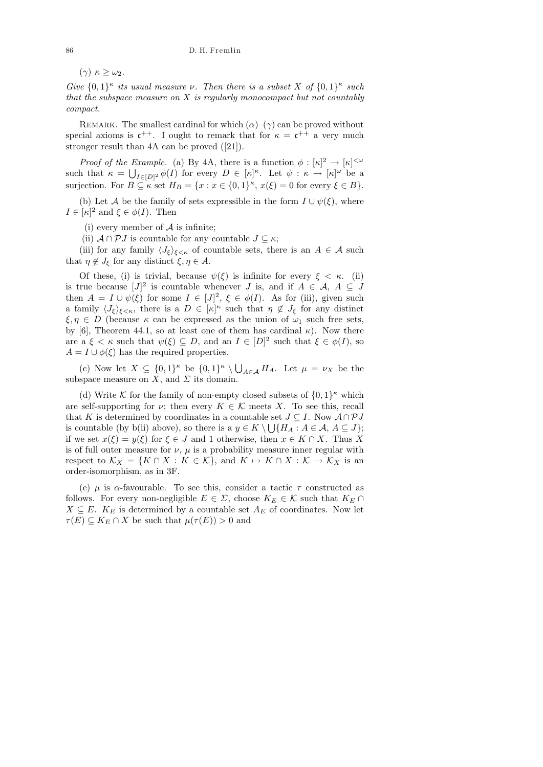(γ)  $\kappa \geq \omega_2$ .

Give  $\{0,1\}^{\kappa}$  its usual measure  $\nu$ . Then there is a subset X of  $\{0,1\}^{\kappa}$  such that the subspace measure on  $X$  is regularly monocompact but not countably compact.

REMARK. The smallest cardinal for which  $(\alpha)$ – $(\gamma)$  can be proved without special axioms is  $c^{++}$ . I ought to remark that for  $\kappa = c^{++}$  a very much stronger result than 4A can be proved ([21]).

*Proof of the Example.* (a) By 4A, there is a function  $\phi : [\kappa]^2 \to [\kappa]^{<\omega}$ such that  $\kappa = \bigcup_{I \in [D]^2} \phi(I)$  for every  $D \in [\kappa]^\kappa$ . Let  $\psi : \kappa \to [\kappa]^\omega$  be a surjection. For  $B \subseteq \kappa$  set  $H_B = \{x : x \in \{0,1\}^{\kappa}, x(\xi) = 0 \text{ for every } \xi \in B\}.$ 

(b) Let A be the family of sets expressible in the form  $I \cup \psi(\xi)$ , where  $I \in [\kappa]^2$  and  $\xi \in \phi(I)$ . Then

(i) every member of  $A$  is infinite;

(ii)  $\mathcal{A} \cap \mathcal{P} J$  is countable for any countable  $J \subseteq \kappa$ ;

(iii) for any family  $\langle J_{\xi} \rangle_{\xi \leq \kappa}$  of countable sets, there is an  $A \in \mathcal{A}$  such that  $\eta \notin J_{\xi}$  for any distinct  $\xi, \eta \in A$ .

Of these, (i) is trivial, because  $\psi(\xi)$  is infinite for every  $\xi < \kappa$ . (ii) is true because  $[J]^2$  is countable whenever J is, and if  $A \in \mathcal{A}, A \subseteq J$ then  $A = I \cup \psi(\xi)$  for some  $I \in [J]^2$ ,  $\xi \in \phi(I)$ . As for (iii), given such a family  $\langle J_{\xi}\rangle_{\xi\langle\kappa\rangle}$ , there is a  $D \in [\kappa]^{\kappa}$  such that  $\eta \notin J_{\xi}$  for any distinct  $\xi, \eta \in D$  (because  $\kappa$  can be expressed as the union of  $\omega_1$  such free sets, by [6], Theorem 44.1, so at least one of them has cardinal  $\kappa$ ). Now there are a  $\xi < \kappa$  such that  $\psi(\xi) \subseteq D$ , and an  $I \in [D]^2$  such that  $\xi \in \phi(I)$ , so  $A = I \cup \phi(\xi)$  has the required properties.

(c) Now let  $X \subseteq \{0,1\}^{\kappa}$  be  $\{0,1\}^{\kappa} \setminus \bigcup_{A \in \mathcal{A}} H_A$ . Let  $\mu = \nu_X$  be the subspace measure on  $X$ , and  $\Sigma$  its domain.

(d) Write K for the family of non-empty closed subsets of  $\{0,1\}^{\kappa}$  which are self-supporting for  $\nu$ ; then every  $K \in \mathcal{K}$  meets X. To see this, recall that K is determined by coordinates in a countable set  $J \subseteq I$ . Now  $\mathcal{A} \cap \mathcal{P}J$ is countable (by b(ii) above), so there is a  $y \in K \setminus \bigcup \{H_A : A \in \mathcal{A}, A \subseteq J\};$ if we set  $x(\xi) = y(\xi)$  for  $\xi \in J$  and 1 otherwise, then  $x \in K \cap X$ . Thus X is of full outer measure for  $\nu$ ,  $\mu$  is a probability measure inner regular with respect to  $\mathcal{K}_X = \{K \cap X : K \in \mathcal{K}\}\$ , and  $K \mapsto K \cap X : \mathcal{K} \to \mathcal{K}_X$  is an order-isomorphism, as in 3F.

(e)  $\mu$  is  $\alpha$ -favourable. To see this, consider a tactic  $\tau$  constructed as follows. For every non-negligible  $E \in \Sigma$ , choose  $K_E \in \mathcal{K}$  such that  $K_E \cap$  $X \subseteq E$ .  $K_E$  is determined by a countable set  $A_E$  of coordinates. Now let  $\tau(E) \subseteq K_E \cap X$  be such that  $\mu(\tau(E)) > 0$  and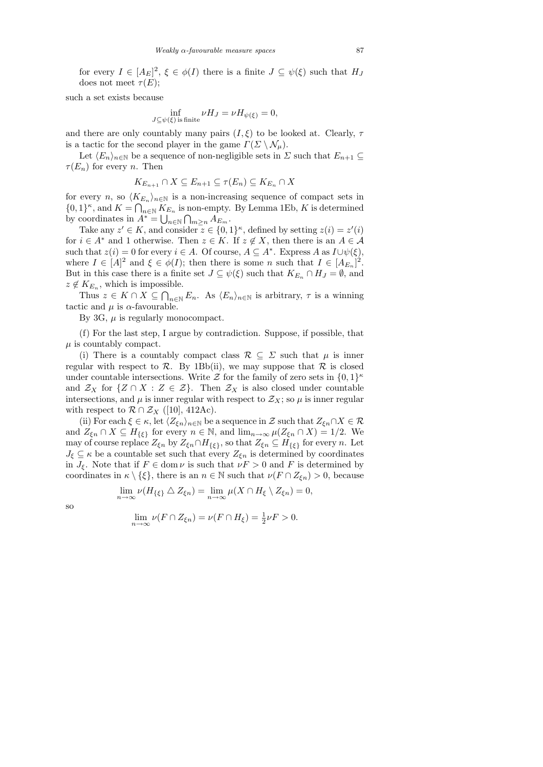for every  $I \in [A_E]^2$ ,  $\xi \in \phi(I)$  there is a finite  $J \subseteq \psi(\xi)$  such that  $H_J$ does not meet  $\tau(E)$ ;

such a set exists because

$$
\inf_{J \subseteq \psi(\xi) \text{ is finite}} \nu H_J = \nu H_{\psi(\xi)} = 0,
$$

and there are only countably many pairs  $(I, \xi)$  to be looked at. Clearly,  $\tau$ is a tactic for the second player in the game  $\Gamma(\Sigma \setminus \mathcal{N}_{\mu}).$ 

Let  $\langle E_n \rangle_{n\in\mathbb{N}}$  be a sequence of non-negligible sets in  $\Sigma$  such that  $E_{n+1} \subseteq$  $\tau(E_n)$  for every *n*. Then

$$
K_{E_{n+1}} \cap X \subseteq E_{n+1} \subseteq \tau(E_n) \subseteq K_{E_n} \cap X
$$

for every n, so  $\langle K_{E_n} \rangle_{n \in \mathbb{N}}$  is a non-increasing sequence of compact sets in  $\{0,1\}^{\kappa}$ , and  $K = \bigcap_{n \in \mathbb{N}} K_{E_n}$  is non-empty. By Lemma 1Eb, K is determined by coordinates in  $A^* = \bigcup_{n \in \mathbb{N}} \bigcap_{m \geq n} A_{E_m}$ .

Take any  $z' \in K$ , and consider  $z \in \{0,1\}^{\kappa}$ , defined by setting  $z(i) = z'(i)$ for  $i \in A^*$  and 1 otherwise. Then  $z \in K$ . If  $z \notin X$ , then there is an  $A \in \mathcal{A}$ such that  $z(i) = 0$  for every  $i \in A$ . Of course,  $A \subseteq A^*$ . Express A as  $I \cup \psi(\xi)$ , where  $I \in [A]^2$  and  $\xi \in \phi(I)$ ; then there is some n such that  $I \in [A_{E_n}]^2$ . But in this case there is a finite set  $J \subseteq \psi(\xi)$  such that  $K_{E_n} \cap H_J = \emptyset$ , and  $z \notin K_{E_n}$ , which is impossible.

Thus  $z \in K \cap X \subseteq \bigcap_{n \in \mathbb{N}} E_n$ . As  $\langle E_n \rangle_{n \in \mathbb{N}}$  is arbitrary,  $\tau$  is a winning tactic and  $\mu$  is  $\alpha$ -favourable.

By 3G,  $\mu$  is regularly monocompact.

(f) For the last step, I argue by contradiction. Suppose, if possible, that  $\mu$  is countably compact.

(i) There is a countably compact class  $\mathcal{R} \subseteq \Sigma$  such that  $\mu$  is inner regular with respect to  $\mathcal{R}$ . By 1Bb(ii), we may suppose that  $\mathcal{R}$  is closed under countable intersections. Write  $\mathcal Z$  for the family of zero sets in  $\{0,1\}^{\kappa}$ and  $\mathcal{Z}_X$  for  $\{Z \cap X : Z \in \mathcal{Z}\}\$ . Then  $\mathcal{Z}_X$  is also closed under countable intersections, and  $\mu$  is inner regular with respect to  $\mathcal{Z}_X$ ; so  $\mu$  is inner regular with respect to  $\mathcal{R} \cap \mathcal{Z}_X$  ([10], 412Ac).

(ii) For each  $\xi \in \kappa$ , let  $\langle Z_{\xi n} \rangle_{n \in \mathbb{N}}$  be a sequence in  $\mathcal Z$  such that  $Z_{\xi n} \cap X \in \mathcal R$ and  $Z_{\xi n} \cap X \subseteq H_{\{\xi\}}$  for every  $n \in \mathbb{N}$ , and  $\lim_{n \to \infty} \mu(Z_{\xi n} \cap X) = 1/2$ . We may of course replace  $Z_{\xi n}$  by  $Z_{\xi n} \cap H_{\{\xi\}}$ , so that  $Z_{\xi n} \subseteq H_{\{\xi\}}$  for every n. Let  $J_{\xi} \subseteq \kappa$  be a countable set such that every  $Z_{\xi n}$  is determined by coordinates in  $J_{\xi}$ . Note that if  $F \in \text{dom }\nu$  is such that  $\nu F > 0$  and F is determined by coordinates in  $\kappa \setminus \{\xi\}$ , there is an  $n \in \mathbb{N}$  such that  $\nu(F \cap Z_{\xi n}) > 0$ , because

$$
\lim_{n\to\infty}\nu(H_{\{\xi\}}\Delta Z_{\xi n})=\lim_{n\to\infty}\mu(X\cap H_{\xi}\setminus Z_{\xi n})=0,
$$

so

$$
\lim_{n \to \infty} \nu(F \cap Z_{\xi n}) = \nu(F \cap H_{\xi}) = \frac{1}{2} \nu F > 0.
$$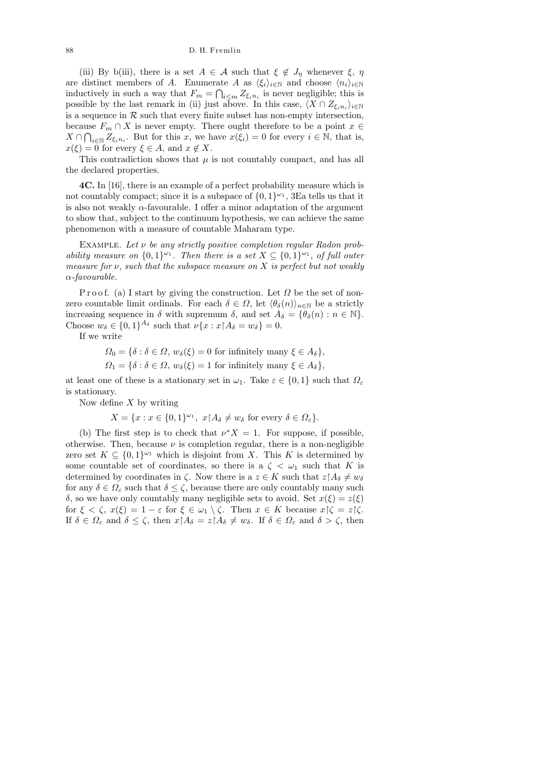## 88 D. H. Fremlin

(iii) By b(iii), there is a set  $A \in \mathcal{A}$  such that  $\xi \notin J_{\eta}$  whenever  $\xi, \eta$ are distinct members of A. Enumerate A as  $\langle \xi_i \rangle_{i \in \mathbb{N}}$  and choose  $\langle n_i \rangle_{i \in \mathbb{N}}$ inductively in such a way that  $F_m = \bigcap_{i \leq m} Z_{\xi_i n_i}$  is never negligible; this is possible by the last remark in (ii) just above. In this case,  $\langle X \cap Z_{\xi_i n_i} \rangle_{i \in \mathbb{N}}$ is a sequence in  $R$  such that every finite subset has non-empty intersection, because  $F_m \cap X$  is never empty. There ought therefore to be a point  $x \in$  $X \cap \bigcap_{i \in \mathbb{N}} Z_{\xi_i n_i}$ . But for this x, we have  $x(\xi_i) = 0$  for every  $i \in \mathbb{N}$ , that is,  $x(\xi) = 0$  for every  $\xi \in A$ , and  $x \notin X$ .

This contradiction shows that  $\mu$  is not countably compact, and has all the declared properties.

4C. In [16], there is an example of a perfect probability measure which is not countably compact; since it is a subspace of  $\{0,1\}^{\omega_1}$ , 3Ea tells us that it is also not weakly  $\alpha$ -favourable. I offer a minor adaptation of the argument to show that, subject to the continuum hypothesis, we can achieve the same phenomenon with a measure of countable Maharam type.

EXAMPLE. Let  $\nu$  be any strictly positive completion regular Radon probability measure on  $\{0,1\}^{\omega_1}$ . Then there is a set  $X \subseteq \{0,1\}^{\omega_1}$ , of full outer measure for  $\nu$ , such that the subspace measure on X is perfect but not weakly α-favourable.

P r o o f. (a) I start by giving the construction. Let  $\Omega$  be the set of nonzero countable limit ordinals. For each  $\delta \in \Omega$ , let  $\langle \theta_{\delta}(n) \rangle_{n \in \mathbb{N}}$  be a strictly increasing sequence in  $\delta$  with supremum  $\delta$ , and set  $A_{\delta} = {\theta_{\delta}(n) : n \in \mathbb{N}}$ . Choose  $w_{\delta} \in \{0,1\}^{A_{\delta}}$  such that  $\nu\{x : x \restriction A_{\delta} = w_{\delta}\} = 0$ .

If we write

$$
\Omega_0 = \{ \delta : \delta \in \Omega, w_{\delta}(\xi) = 0 \text{ for infinitely many } \xi \in A_{\delta} \},
$$

 $\Omega_1 = \{\delta : \delta \in \Omega, w_{\delta}(\xi) = 1 \text{ for infinitely many } \xi \in A_{\delta}\},\$ 

at least one of these is a stationary set in  $\omega_1$ . Take  $\varepsilon \in \{0,1\}$  such that  $\Omega_{\varepsilon}$ is stationary.

Now define  $X$  by writing

$$
X = \{x : x \in \{0,1\}^{\omega_1}, \ x \nmid A_\delta \neq w_\delta \text{ for every } \delta \in \Omega_\varepsilon\}.
$$

(b) The first step is to check that  $\nu^*X = 1$ . For suppose, if possible, otherwise. Then, because  $\nu$  is completion regular, there is a non-negligible zero set  $K \subseteq \{0,1\}^{\omega_1}$  which is disjoint from X. This K is determined by some countable set of coordinates, so there is a  $\zeta < \omega_1$  such that K is determined by coordinates in  $\zeta$ . Now there is a  $z \in K$  such that  $z \upharpoonright A_\delta \neq w_\delta$ for any  $\delta \in \Omega_{\varepsilon}$  such that  $\delta \leq \zeta$ , because there are only countably many such  $\delta$ , so we have only countably many negligible sets to avoid. Set  $x(\xi) = z(\xi)$ for  $\xi < \zeta$ ,  $x(\xi) = 1 - \varepsilon$  for  $\xi \in \omega_1 \setminus \zeta$ . Then  $x \in K$  because  $x \upharpoonright \zeta = z \upharpoonright \zeta$ . If  $\delta \in \Omega_{\varepsilon}$  and  $\delta \leq \zeta$ , then  $x \upharpoonright A_{\delta} = z \upharpoonright A_{\delta} \neq w_{\delta}$ . If  $\delta \in \Omega_{\varepsilon}$  and  $\delta > \zeta$ , then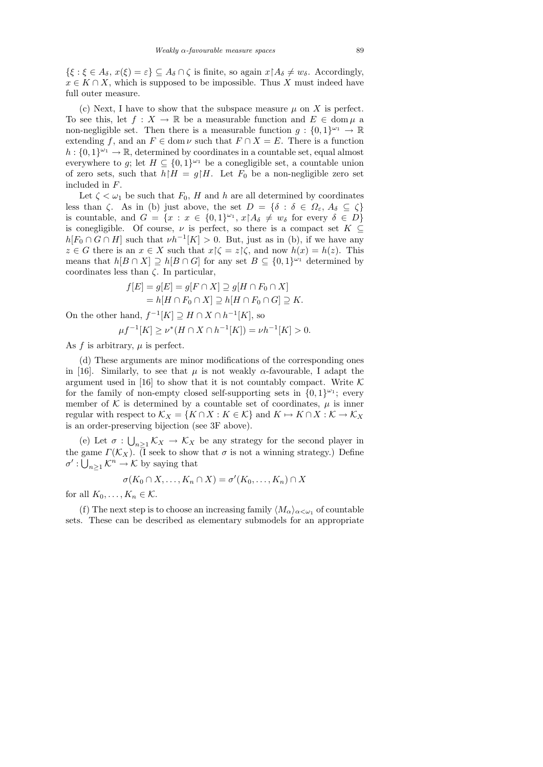$\{\xi : \xi \in A_{\delta}, x(\xi) = \varepsilon\} \subseteq A_{\delta} \cap \zeta$  is finite, so again  $x \upharpoonright A_{\delta} \neq w_{\delta}$ . Accordingly,  $x \in K \cap X$ , which is supposed to be impossible. Thus X must indeed have full outer measure.

(c) Next, I have to show that the subspace measure  $\mu$  on X is perfect. To see this, let  $f: X \to \mathbb{R}$  be a measurable function and  $E \in \text{dom}\,\mu$  a non-negligible set. Then there is a measurable function  $g: \{0,1\}^{\omega_1} \to \mathbb{R}$ extending f, and an  $F \in \text{dom } \nu$  such that  $F \cap X = E$ . There is a function  $h: \{0,1\}^{\omega_1} \to \mathbb{R}$ , determined by coordinates in a countable set, equal almost everywhere to g; let  $H \subseteq \{0,1\}^{\omega_1}$  be a conegligible set, a countable union of zero sets, such that  $h|H = g/H$ . Let  $F_0$  be a non-negligible zero set included in F.

Let  $\zeta < \omega_1$  be such that  $F_0$ , H and h are all determined by coordinates less than  $\zeta$ . As in (b) just above, the set  $D = {\delta : \delta \in \Omega_{\varepsilon}, A_{\delta} \subseteq \zeta}$ is countable, and  $G = \{x : x \in \{0,1\}^{\omega_1}, x \restriction A_{\delta} \neq w_{\delta} \text{ for every } \delta \in D\}$ is conegligible. Of course,  $\nu$  is perfect, so there is a compact set  $K \subseteq$  $h[F_0 \cap G \cap H]$  such that  $\nu h^{-1}[K] > 0$ . But, just as in (b), if we have any  $z \in G$  there is an  $x \in X$  such that  $x \upharpoonright \zeta = z \upharpoonright \zeta$ , and now  $h(x) = h(z)$ . This means that  $h[B \cap X] \supseteq h[B \cap G]$  for any set  $B \subseteq \{0,1\}^{\omega_1}$  determined by coordinates less than  $\zeta$ . In particular,

$$
f[E] = g[E] = g[F \cap X] \supseteq g[H \cap F_0 \cap X]
$$

$$
= h[H \cap F_0 \cap X] \supseteq h[H \cap F_0 \cap G] \supseteq K.
$$

On the other hand,  $f^{-1}[K] \supseteq H \cap X \cap h^{-1}[K]$ , so

$$
\mu f^{-1}[K] \ge \nu^*(H \cap X \cap h^{-1}[K]) = \nu h^{-1}[K] > 0.
$$

As  $f$  is arbitrary,  $\mu$  is perfect.

(d) These arguments are minor modifications of the corresponding ones in [16]. Similarly, to see that  $\mu$  is not weakly  $\alpha$ -favourable, I adapt the argument used in [16] to show that it is not countably compact. Write  $\mathcal K$ for the family of non-empty closed self-supporting sets in  $\{0,1\}^{\omega_1}$ ; every member of  $K$  is determined by a countable set of coordinates,  $\mu$  is inner regular with respect to  $\mathcal{K}_X = \{K \cap X : K \in \mathcal{K}\}\$  and  $K \mapsto K \cap X : \mathcal{K} \to \mathcal{K}_X$ is an order-preserving bijection (see 3F above).

(e) Let  $\sigma: \bigcup_{n\geq 1} \mathcal{K}_X \to \mathcal{K}_X$  be any strategy for the second player in the game  $\Gamma(\mathcal{K}_X)$ . (I seek to show that  $\sigma$  is not a winning strategy.) Define  $\sigma' : \bigcup_{n \geq 1} \mathcal{K}^n \to \mathcal{K}$  by saying that

$$
\sigma(K_0 \cap X, \dots, K_n \cap X) = \sigma'(K_0, \dots, K_n) \cap X
$$

for all  $K_0, \ldots, K_n \in \mathcal{K}$ .

(f) The next step is to choose an increasing family  $\langle M_{\alpha}\rangle_{\alpha<\omega_1}$  of countable sets. These can be described as elementary submodels for an appropriate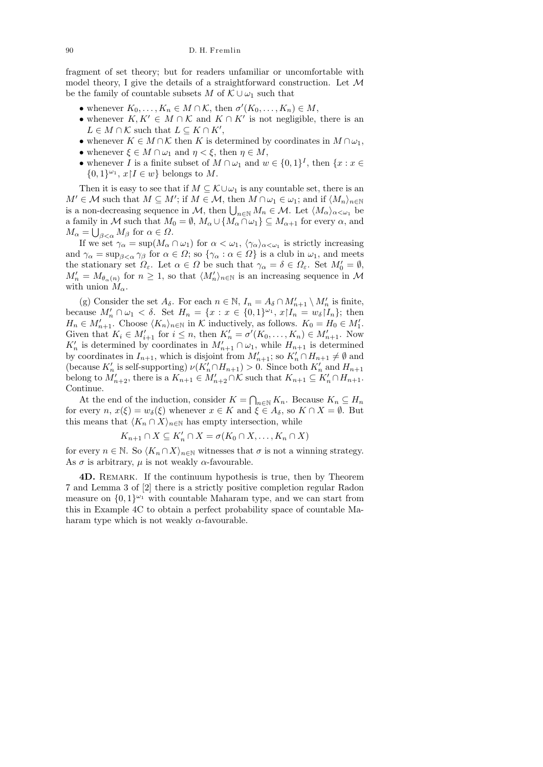fragment of set theory; but for readers unfamiliar or uncomfortable with model theory, I give the details of a straightforward construction. Let  $\mathcal M$ be the family of countable subsets M of  $\mathcal{K} \cup \omega_1$  such that

- whenever  $K_0, \ldots, K_n \in M \cap \mathcal{K}$ , then  $\sigma'(K_0, \ldots, K_n) \in M$ ,
- whenever  $K, K' \in M \cap \mathcal{K}$  and  $K \cap K'$  is not negligible, there is an  $L \in M \cap \mathcal{K}$  such that  $L \subseteq K \cap K'$ ,
- whenever  $K \in M \cap \mathcal{K}$  then K is determined by coordinates in  $M \cap \omega_1$ , • whenever  $\xi \in M \cap \omega_1$  and  $\eta < \xi$ , then  $\eta \in M$ ,
- whenever I is a finite subset of  $M \cap \omega_1$  and  $w \in \{0,1\}^I$ , then  $\{x : x \in$  $\{0,1\}^{\omega_1}, x \mid I \in w\}$  belongs to M.

Then it is easy to see that if  $M \subseteq \mathcal{K} \cup \omega_1$  is any countable set, there is an  $M' \in \mathcal{M}$  such that  $M \subseteq M'$ ; if  $M \in \mathcal{M}$ , then  $M \cap \omega_1 \in \omega_1$ ; and if  $\langle M_n \rangle_{n \in \mathbb{N}}$ is a non-decreasing sequence in M, then  $\bigcup_{n\in\mathbb{N}}M_n\in\mathcal{M}$ . Let  $\langle M_{\alpha}\rangle_{\alpha<\omega_1}$  be a family in M such that  $M_0 = \emptyset$ ,  $M_\alpha \cup \{M_\alpha \cap \omega_1\} \subseteq M_{\alpha+1}$  for every  $\alpha$ , and  $M_{\alpha} = \bigcup_{\beta < \alpha} M_{\beta}$  for  $\alpha \in \Omega$ .

If we set  $\gamma_{\alpha} = \sup(M_{\alpha} \cap \omega_1)$  for  $\alpha < \omega_1$ ,  $\langle \gamma_{\alpha} \rangle_{\alpha < \omega_1}$  is strictly increasing and  $\gamma_{\alpha} = \sup_{\beta < \alpha} \gamma_{\beta}$  for  $\alpha \in \Omega$ ; so  $\{\gamma_{\alpha} : \alpha \in \Omega\}$  is a club in  $\omega_1$ , and meets the stationary set  $\Omega_{\varepsilon}$ . Let  $\alpha \in \Omega$  be such that  $\gamma_{\alpha} = \delta \in \Omega_{\varepsilon}$ . Set  $M'_{0} = \emptyset$ ,  $M'_n = M_{\theta_\alpha(n)}$  for  $n \geq 1$ , so that  $\langle M'_n \rangle_{n \in \mathbb{N}}$  is an increasing sequence in M with union  $M_{\alpha}$ .

(g) Consider the set  $A_{\delta}$ . For each  $n \in \mathbb{N}$ ,  $I_n = A_{\delta} \cap M'_{n+1} \setminus M'_n$  is finite, because  $M'_n \cap \omega_1 < \delta$ . Set  $H_n = \{x : x \in \{0,1\}^{\omega_1}, x \mid I_n = w_\delta \mid I_n\};$  then  $H_n \in M'_{n+1}$ . Choose  $\langle K_n \rangle_{n \in \mathbb{N}}$  in K inductively, as follows.  $K_0 = H_0 \in M'_1$ . Given that  $K_i \in M'_{i+1}$  for  $i \leq n$ , then  $K'_n = \sigma'(K_0, \ldots, K_n) \in M'_{n+1}$ . Now  $K'_n$  is determined by coordinates in  $M'_{n+1} \cap \omega_1$ , while  $H_{n+1}$  is determined by coordinates in  $I_{n+1}$ , which is disjoint from  $M'_{n+1}$ ; so  $K'_{n} \cap H_{n+1} \neq \emptyset$  and (because  $K'_n$  is self-supporting)  $\nu(K'_n \cap H_{n+1}) > 0$ . Since both  $K'_n$  and  $H_{n+1}$ belong to  $M'_{n+2}$ , there is a  $K_{n+1} \in M'_{n+2} \cap \mathcal{K}$  such that  $K_{n+1} \subseteq K'_{n} \cap H_{n+1}$ . Continue.

At the end of the induction, consider  $K = \bigcap_{n \in \mathbb{N}} K_n$ . Because  $K_n \subseteq H_n$ for every  $n, x(\xi) = w_\delta(\xi)$  whenever  $x \in K$  and  $\xi \in A_\delta$ , so  $K \cap X = \emptyset$ . But this means that  $\langle K_n \cap X \rangle_{n \in \mathbb{N}}$  has empty intersection, while

$$
K_{n+1} \cap X \subseteq K'_n \cap X = \sigma(K_0 \cap X, \dots, K_n \cap X)
$$

for every  $n \in \mathbb{N}$ . So  $\langle K_n \cap X \rangle_{n \in \mathbb{N}}$  witnesses that  $\sigma$  is not a winning strategy. As  $\sigma$  is arbitrary,  $\mu$  is not weakly  $\alpha$ -favourable.

4D. Remark. If the continuum hypothesis is true, then by Theorem 7 and Lemma 3 of [2] there is a strictly positive completion regular Radon measure on  $\{0,1\}^{\omega_1}$  with countable Maharam type, and we can start from this in Example 4C to obtain a perfect probability space of countable Maharam type which is not weakly  $\alpha$ -favourable.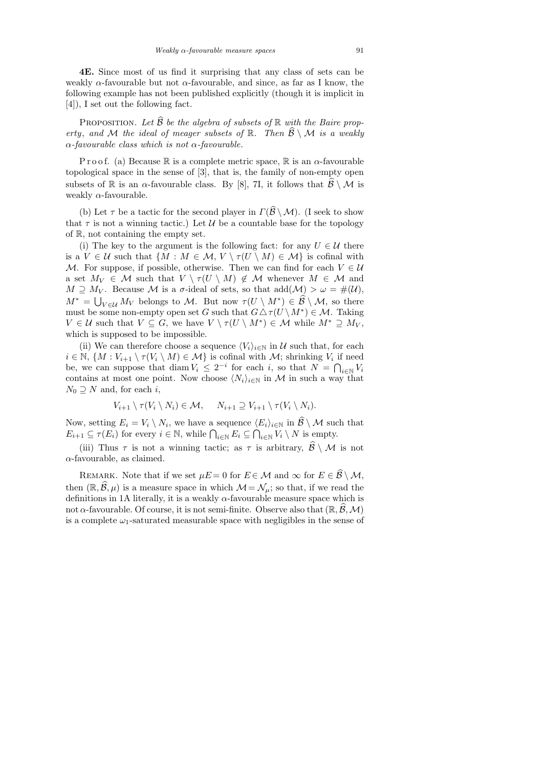4E. Since most of us find it surprising that any class of sets can be weakly  $\alpha$ -favourable but not  $\alpha$ -favourable, and since, as far as I know, the following example has not been published explicitly (though it is implicit in [4]), I set out the following fact.

PROPOSITION. Let  $\widehat{\mathcal{B}}$  be the algebra of subsets of  $\mathbb R$  with the Baire property, and M the ideal of meager subsets of  $\mathbb{R}$ . Then  $\widehat{\mathcal{B}} \setminus \mathcal{M}$  is a weakly  $\alpha$ -favourable class which is not  $\alpha$ -favourable.

P r o o f. (a) Because R is a complete metric space, R is an  $\alpha$ -favourable topological space in the sense of [3], that is, the family of non-empty open subsets of R is an  $\alpha$ -favourable class. By [8], 7I, it follows that  $\mathcal{B} \setminus \mathcal{M}$  is weakly  $\alpha$ -favourable.

(b) Let  $\tau$  be a tactic for the second player in  $\Gamma(\widehat{\mathcal{B}} \setminus \mathcal{M})$ . (I seek to show that  $\tau$  is not a winning tactic.) Let U be a countable base for the topology of R, not containing the empty set.

(i) The key to the argument is the following fact: for any  $U \in \mathcal{U}$  there is a  $V \in \mathcal{U}$  such that  $\{M : M \in \mathcal{M}, V \setminus \tau(U \setminus M) \in \mathcal{M}\}\$ is cofinal with M. For suppose, if possible, otherwise. Then we can find for each  $V \in \mathcal{U}$ a set  $M_V \in \mathcal{M}$  such that  $V \setminus \tau(U \setminus M) \notin \mathcal{M}$  whenever  $M \in \mathcal{M}$  and  $M \supseteq M_V$ . Because M is a  $\sigma$ -ideal of sets, so that  $add(M) > \omega = \#(\mathcal{U}),$  $M^* = \bigcup_{V \in \mathcal{U}} M_V$  belongs to M. But now  $\tau(U \setminus M^*) \in \mathcal{B} \setminus \mathcal{M}$ , so there must be some non-empty open set G such that  $G \Delta \tau(U \setminus M^*) \in \mathcal{M}$ . Taking  $V \in \mathcal{U}$  such that  $V \subseteq G$ , we have  $V \setminus \tau(U \setminus M^*) \in \mathcal{M}$  while  $M^* \supseteq M_V$ , which is supposed to be impossible.

(ii) We can therefore choose a sequence  $\langle V_i \rangle_{i \in \mathbb{N}}$  in U such that, for each  $i \in \mathbb{N}, \{M: V_{i+1} \setminus \tau(V_i \setminus M) \in \mathcal{M}\}\$ is cofinal with  $\mathcal{M}$ ; shrinking  $V_i$  if need be, we can suppose that diam  $V_i \leq 2^{-i}$  for each i, so that  $N = \bigcap_{i \in \mathbb{N}} V_i$ contains at most one point. Now choose  $\langle N_i \rangle_{i \in \mathbb{N}}$  in M in such a way that  $N_0 \supseteq N$  and, for each i,

$$
V_{i+1} \setminus \tau(V_i \setminus N_i) \in \mathcal{M}, \quad N_{i+1} \supseteq V_{i+1} \setminus \tau(V_i \setminus N_i).
$$

Now, setting  $E_i = V_i \setminus N_i$ , we have a sequence  $\langle E_i \rangle_{i \in \mathbb{N}}$  in  $\mathcal{B} \setminus \mathcal{M}$  such that  $E_{i+1} \subseteq \tau(E_i)$  for every  $i \in \mathbb{N}$ , while  $\bigcap_{i \in \mathbb{N}} E_i \subseteq \bigcap_{i \in \mathbb{N}} V_i \setminus N$  is empty.

(iii) Thus  $\tau$  is not a winning tactic; as  $\tau$  is arbitrary,  $\mathcal{B} \setminus \mathcal{M}$  is not  $\alpha$ -favourable, as claimed.

REMARK. Note that if we set  $\mu E = 0$  for  $E \in \mathcal{M}$  and  $\infty$  for  $E \in \widehat{\mathcal{B}} \setminus \mathcal{M}$ , then  $(\mathbb{R}, \widehat{\mathcal{B}}, \mu)$  is a measure space in which  $\mathcal{M} = \mathcal{N}_{\mu}$ ; so that, if we read the definitions in 1A literally, it is a weakly  $\alpha$ -favourable measure space which is not  $\alpha$ -favourable. Of course, it is not semi-finite. Observe also that  $(\mathbb{R}, \mathcal{B}, \mathcal{M})$ is a complete  $\omega_1$ -saturated measurable space with negligibles in the sense of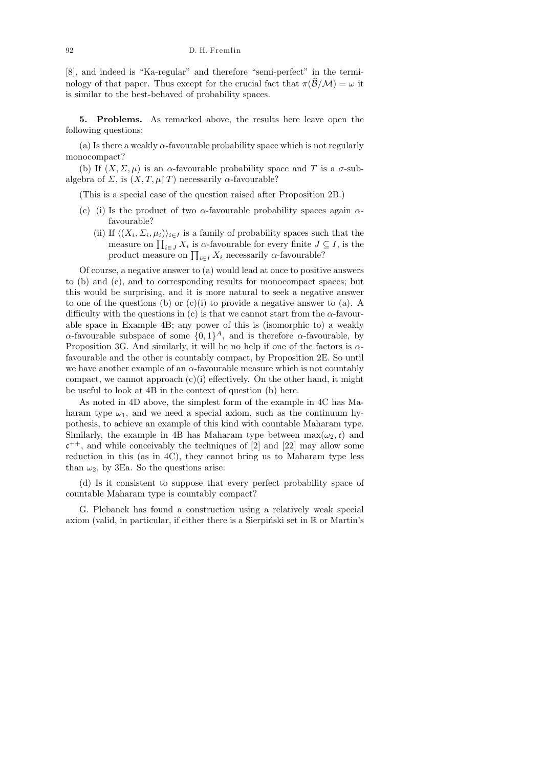[8], and indeed is "Ka-regular" and therefore "semi-perfect" in the terminology of that paper. Thus except for the crucial fact that  $\pi(\widehat{\mathcal{B}}/\mathcal{M}) = \omega$  it is similar to the best-behaved of probability spaces.

5. Problems. As remarked above, the results here leave open the following questions:

(a) Is there a weakly  $\alpha$ -favourable probability space which is not regularly monocompact?

(b) If  $(X, \Sigma, \mu)$  is an  $\alpha$ -favourable probability space and T is a  $\sigma$ -subalgebra of  $\Sigma$ , is  $(X, T, \mu \upharpoonright T)$  necessarily  $\alpha$ -favourable?

(This is a special case of the question raised after Proposition 2B.)

- (c) (i) Is the product of two  $\alpha$ -favourable probability spaces again  $\alpha$ favourable?
	- (ii) If  $\langle (X_i, \Sigma_i, \mu_i) \rangle_{i \in I}$  is a family of probability spaces such that the measure on  $\prod_{i\in J} X_i$  is  $\alpha$ -favourable for every finite  $J\subseteq I$ , is the product measure on  $\prod_{i \in I} X_i$  necessarily  $\alpha$ -favourable?

Of course, a negative answer to (a) would lead at once to positive answers to (b) and (c), and to corresponding results for monocompact spaces; but this would be surprising, and it is more natural to seek a negative answer to one of the questions (b) or  $(c)(i)$  to provide a negative answer to (a). A difficulty with the questions in (c) is that we cannot start from the  $\alpha$ -favourable space in Example 4B; any power of this is (isomorphic to) a weakly  $\alpha$ -favourable subspace of some  $\{0,1\}^A$ , and is therefore  $\alpha$ -favourable, by Proposition 3G. And similarly, it will be no help if one of the factors is  $\alpha$ favourable and the other is countably compact, by Proposition 2E. So until we have another example of an  $\alpha$ -favourable measure which is not countably compact, we cannot approach  $(c)(i)$  effectively. On the other hand, it might be useful to look at 4B in the context of question (b) here.

As noted in 4D above, the simplest form of the example in 4C has Maharam type  $\omega_1$ , and we need a special axiom, such as the continuum hypothesis, to achieve an example of this kind with countable Maharam type. Similarly, the example in 4B has Maharam type between  $\max(\omega_2, \mathfrak{c})$  and  $\mathfrak{c}^{++}$ , and while conceivably the techniques of [2] and [22] may allow some reduction in this (as in 4C), they cannot bring us to Maharam type less than  $\omega_2$ , by 3Ea. So the questions arise:

(d) Is it consistent to suppose that every perfect probability space of countable Maharam type is countably compact?

G. Plebanek has found a construction using a relatively weak special axiom (valid, in particular, if either there is a Sierpinski set in  $\mathbb R$  or Martin's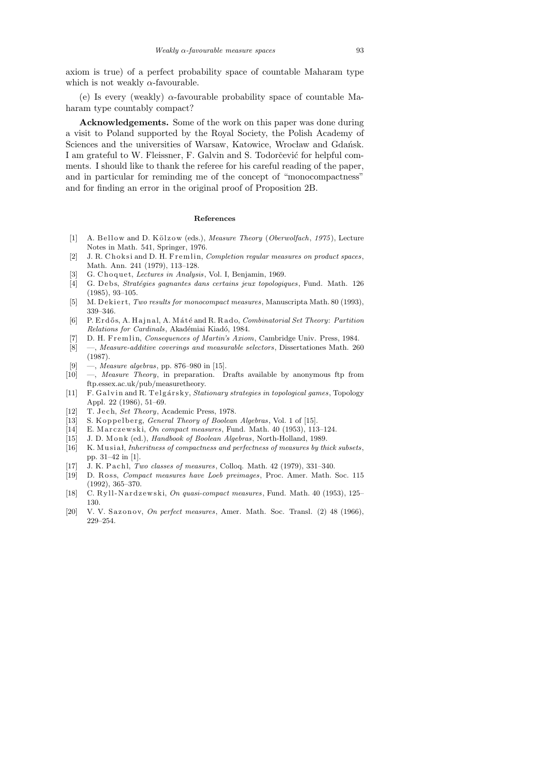axiom is true) of a perfect probability space of countable Maharam type which is not weakly  $\alpha$ -favourable.

(e) Is every (weakly)  $\alpha$ -favourable probability space of countable Maharam type countably compact?

Acknowledgements. Some of the work on this paper was done during a visit to Poland supported by the Royal Society, the Polish Academy of Sciences and the universities of Warsaw, Katowice, Wrocław and Gdańsk. I am grateful to W. Fleissner, F. Galvin and S. Todorčević for helpful comments. I should like to thank the referee for his careful reading of the paper, and in particular for reminding me of the concept of "monocompactness" and for finding an error in the original proof of Proposition 2B.

### **References**

- [1] A. Bellow and D. Kölzow (eds.), *Measure Theory* (*Oberwolfach*, 1975), Lecture Notes in Math. 541, Springer, 1976.
- [2] J. R. Choksi and D. H. Fremlin, *Completion regular measures on product spaces*, Math. Ann. 241 (1979), 113–128.
- [3] G. Choquet, *Lectures in Analysis*, Vol. I, Benjamin, 1969.
- [4] G. Debs, *Stratégies gagnantes dans certains jeux topologiques*, Fund. Math. 126 (1985), 93–105.
- [5] M. D e ki e r t, *Two results for monocompact measures*, Manuscripta Math. 80 (1993), 339–346.
- [6] P. E r d ˝o s, A. H a j n al, A. M ´a t´e and R. R a d o, *Combinatorial Set Theory*: *Partition*  $Relationship of Cardinals, Akadémiai Kiadó, 1984.$
- [7] D. H. Fremlin, *Consequences of Martin's Axiom*, Cambridge Univ. Press, 1984.
- [8] —, *Measure-additive coverings and measurable selectors*, Dissertationes Math. 260 (1987).
- [9] —, *Measure algebras*, pp. 876–980 in [15].
- [10] —, *Measure Theory*, in preparation. Drafts available by anonymous ftp from ftp.essex.ac.uk/pub/measuretheory.
- [11] F. Galvin and R. Telgársky, *Stationary strategies in topological games*, Topology Appl. 22 (1986), 51–69.
- [12] T. Jech, *Set Theory*, Academic Press, 1978.
- [13] S. Koppelberg, *General Theory of Boolean Algebras*, Vol. 1 of [15].
- [14] E. Marczewski, *On compact measures*, Fund. Math. 40 (1953), 113–124.
- [15] J. D. M o n k (ed.), *Handbook of Boolean Algebras*, North-Holland, 1989.
- [16] K. Musiał, *Inheritness of compactness and perfectness of measures by thick subsets*, pp. 31–42 in [1].
- [17] J. K. Pachl, *Two classes of measures*, Colloq. Math. 42 (1979), 331-340.
- [19] D. Ross, *Compact measures have Loeb preimages*, Proc. Amer. Math. Soc. 115 (1992), 365–370.
- [18] C. Ryll-Nardzewski, *On quasi-compact measures*, Fund. Math. 40 (1953), 125– 130.
- [20] V. V. Sazonov, *On perfect measures*, Amer. Math. Soc. Transl. (2) 48 (1966), 229–254.